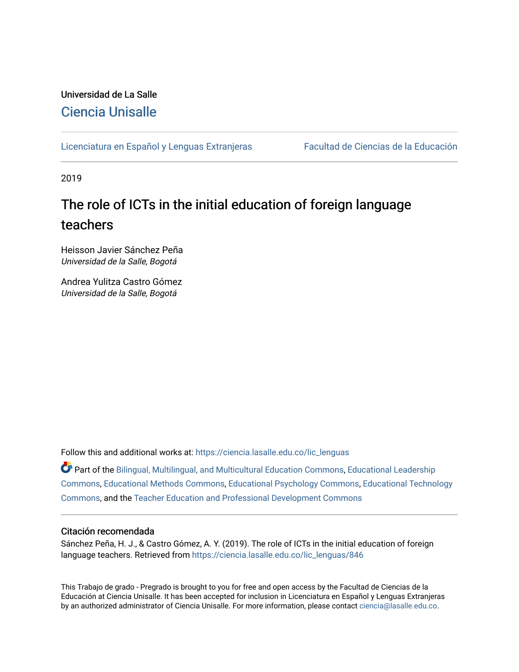# Universidad de La Salle [Ciencia Unisalle](https://ciencia.lasalle.edu.co/)

[Licenciatura en Español y Lenguas Extranjeras](https://ciencia.lasalle.edu.co/lic_lenguas) Facultad de Ciencias de la Educación

2019

# The role of ICTs in the initial education of foreign language teachers

Heisson Javier Sánchez Peña Universidad de la Salle, Bogotá

Andrea Yulitza Castro Gómez Universidad de la Salle, Bogotá

Follow this and additional works at: [https://ciencia.lasalle.edu.co/lic\\_lenguas](https://ciencia.lasalle.edu.co/lic_lenguas?utm_source=ciencia.lasalle.edu.co%2Flic_lenguas%2F846&utm_medium=PDF&utm_campaign=PDFCoverPages)

Part of the [Bilingual, Multilingual, and Multicultural Education Commons,](http://network.bepress.com/hgg/discipline/785?utm_source=ciencia.lasalle.edu.co%2Flic_lenguas%2F846&utm_medium=PDF&utm_campaign=PDFCoverPages) [Educational Leadership](http://network.bepress.com/hgg/discipline/1230?utm_source=ciencia.lasalle.edu.co%2Flic_lenguas%2F846&utm_medium=PDF&utm_campaign=PDFCoverPages)  [Commons](http://network.bepress.com/hgg/discipline/1230?utm_source=ciencia.lasalle.edu.co%2Flic_lenguas%2F846&utm_medium=PDF&utm_campaign=PDFCoverPages), [Educational Methods Commons](http://network.bepress.com/hgg/discipline/1227?utm_source=ciencia.lasalle.edu.co%2Flic_lenguas%2F846&utm_medium=PDF&utm_campaign=PDFCoverPages), [Educational Psychology Commons,](http://network.bepress.com/hgg/discipline/798?utm_source=ciencia.lasalle.edu.co%2Flic_lenguas%2F846&utm_medium=PDF&utm_campaign=PDFCoverPages) [Educational Technology](http://network.bepress.com/hgg/discipline/1415?utm_source=ciencia.lasalle.edu.co%2Flic_lenguas%2F846&utm_medium=PDF&utm_campaign=PDFCoverPages) [Commons](http://network.bepress.com/hgg/discipline/1415?utm_source=ciencia.lasalle.edu.co%2Flic_lenguas%2F846&utm_medium=PDF&utm_campaign=PDFCoverPages), and the [Teacher Education and Professional Development Commons](http://network.bepress.com/hgg/discipline/803?utm_source=ciencia.lasalle.edu.co%2Flic_lenguas%2F846&utm_medium=PDF&utm_campaign=PDFCoverPages)

### Citación recomendada

Sánchez Peña, H. J., & Castro Gómez, A. Y. (2019). The role of ICTs in the initial education of foreign language teachers. Retrieved from [https://ciencia.lasalle.edu.co/lic\\_lenguas/846](https://ciencia.lasalle.edu.co/lic_lenguas/846?utm_source=ciencia.lasalle.edu.co%2Flic_lenguas%2F846&utm_medium=PDF&utm_campaign=PDFCoverPages) 

This Trabajo de grado - Pregrado is brought to you for free and open access by the Facultad de Ciencias de la Educación at Ciencia Unisalle. It has been accepted for inclusion in Licenciatura en Español y Lenguas Extranjeras by an authorized administrator of Ciencia Unisalle. For more information, please contact [ciencia@lasalle.edu.co.](mailto:ciencia@lasalle.edu.co)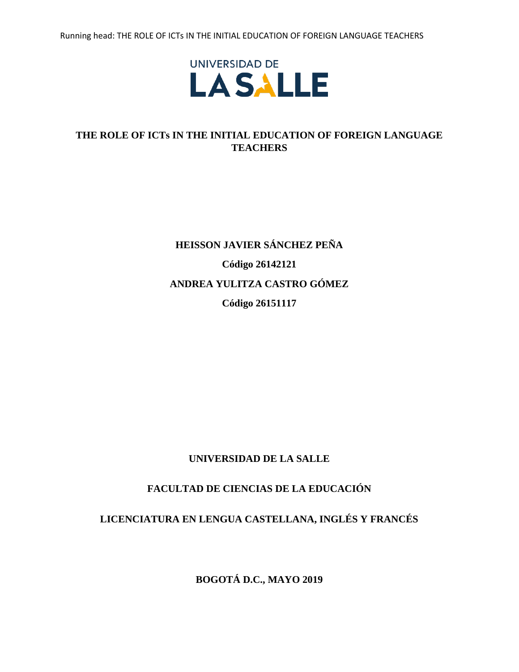

# **THE ROLE OF ICTs IN THE INITIAL EDUCATION OF FOREIGN LANGUAGE TEACHERS**

# **HEISSON JAVIER SÁNCHEZ PEÑA Código 26142121 ANDREA YULITZA CASTRO GÓMEZ Código 26151117**

# **UNIVERSIDAD DE LA SALLE**

# **FACULTAD DE CIENCIAS DE LA EDUCACIÓN**

# **LICENCIATURA EN LENGUA CASTELLANA, INGLÉS Y FRANCÉS**

**BOGOTÁ D.C., MAYO 2019**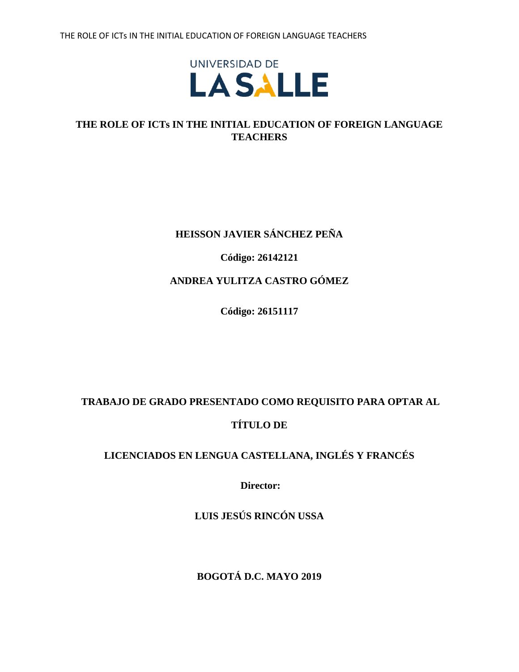

# **HEISSON JAVIER SÁNCHEZ PEÑA**

**Código: 26142121**

# **ANDREA YULITZA CASTRO GÓMEZ**

**Código: 26151117**

# **TRABAJO DE GRADO PRESENTADO COMO REQUISITO PARA OPTAR AL TÍTULO DE**

# **LICENCIADOS EN LENGUA CASTELLANA, INGLÉS Y FRANCÉS**

**Director:**

**LUIS JESÚS RINCÓN USSA**

**BOGOTÁ D.C. MAYO 2019**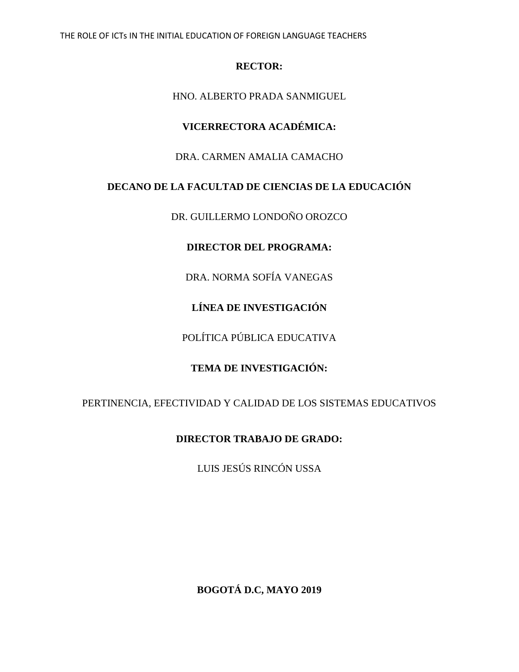# **RECTOR:**

HNO. ALBERTO PRADA SANMIGUEL

# **VICERRECTORA ACADÉMICA:**

# DRA. CARMEN AMALIA CAMACHO

# **DECANO DE LA FACULTAD DE CIENCIAS DE LA EDUCACIÓN**

DR. GUILLERMO LONDOÑO OROZCO

# **DIRECTOR DEL PROGRAMA:**

DRA. NORMA SOFÍA VANEGAS

**LÍNEA DE INVESTIGACIÓN**

POLÍTICA PÚBLICA EDUCATIVA

# **TEMA DE INVESTIGACIÓN:**

PERTINENCIA, EFECTIVIDAD Y CALIDAD DE LOS SISTEMAS EDUCATIVOS

# **DIRECTOR TRABAJO DE GRADO:**

LUIS JESÚS RINCÓN USSA

**BOGOTÁ D.C, MAYO 2019**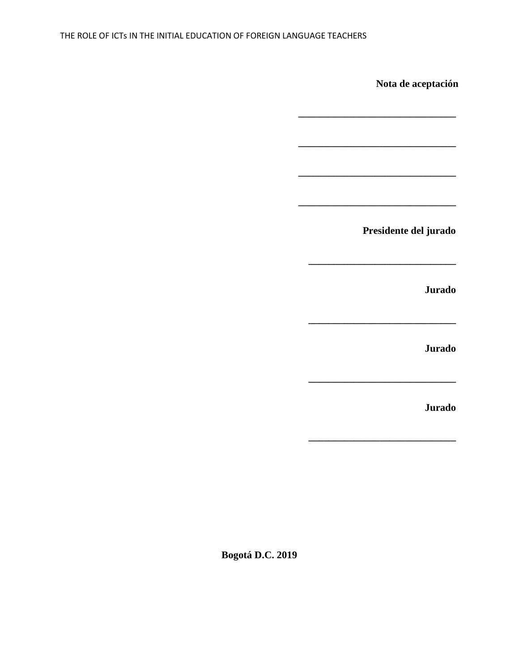**Bogotá D.C. 2019**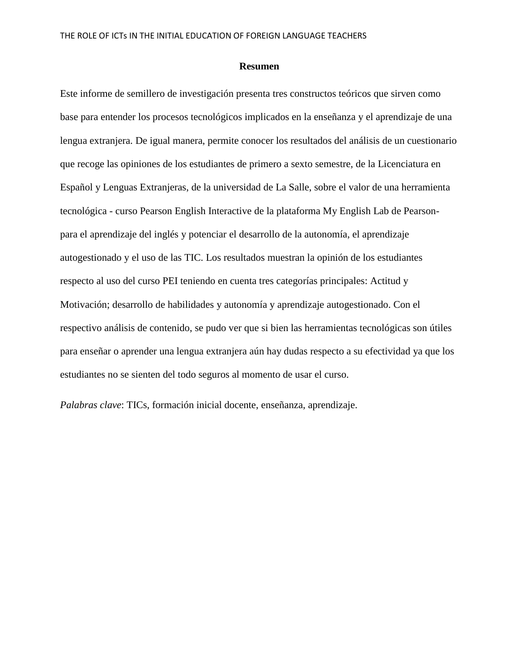### **Resumen**

Este informe de semillero de investigación presenta tres constructos teóricos que sirven como base para entender los procesos tecnológicos implicados en la enseñanza y el aprendizaje de una lengua extranjera. De igual manera, permite conocer los resultados del análisis de un cuestionario que recoge las opiniones de los estudiantes de primero a sexto semestre, de la Licenciatura en Español y Lenguas Extranjeras, de la universidad de La Salle, sobre el valor de una herramienta tecnológica - curso Pearson English Interactive de la plataforma My English Lab de Pearsonpara el aprendizaje del inglés y potenciar el desarrollo de la autonomía, el aprendizaje autogestionado y el uso de las TIC. Los resultados muestran la opinión de los estudiantes respecto al uso del curso PEI teniendo en cuenta tres categorías principales: Actitud y Motivación; desarrollo de habilidades y autonomía y aprendizaje autogestionado. Con el respectivo análisis de contenido, se pudo ver que si bien las herramientas tecnológicas son útiles para enseñar o aprender una lengua extranjera aún hay dudas respecto a su efectividad ya que los estudiantes no se sienten del todo seguros al momento de usar el curso.

*Palabras clave*: TICs, formación inicial docente, enseñanza, aprendizaje.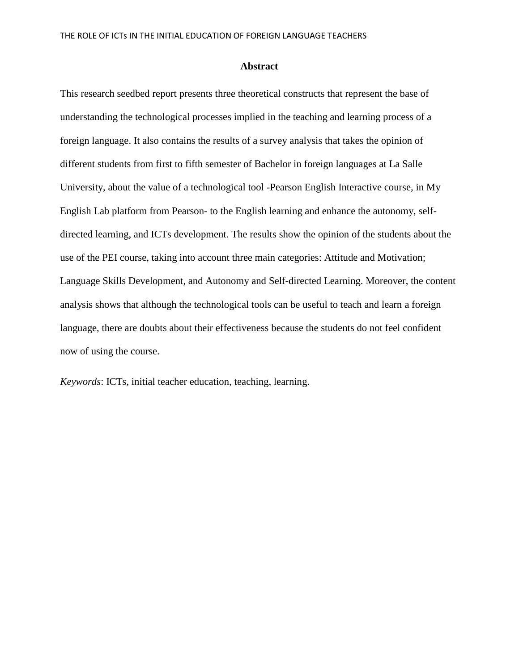### **Abstract**

This research seedbed report presents three theoretical constructs that represent the base of understanding the technological processes implied in the teaching and learning process of a foreign language. It also contains the results of a survey analysis that takes the opinion of different students from first to fifth semester of Bachelor in foreign languages at La Salle University, about the value of a technological tool -Pearson English Interactive course, in My English Lab platform from Pearson- to the English learning and enhance the autonomy, selfdirected learning, and ICTs development. The results show the opinion of the students about the use of the PEI course, taking into account three main categories: Attitude and Motivation; Language Skills Development, and Autonomy and Self-directed Learning. Moreover, the content analysis shows that although the technological tools can be useful to teach and learn a foreign language, there are doubts about their effectiveness because the students do not feel confident now of using the course.

*Keywords*: ICTs, initial teacher education, teaching, learning.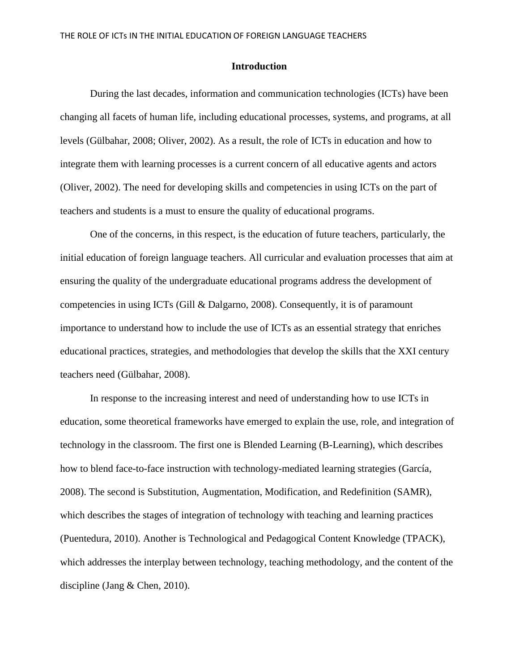### **Introduction**

During the last decades, information and communication technologies (ICTs) have been changing all facets of human life, including educational processes, systems, and programs, at all levels (Gülbahar, 2008; Oliver, 2002). As a result, the role of ICTs in education and how to integrate them with learning processes is a current concern of all educative agents and actors (Oliver, 2002). The need for developing skills and competencies in using ICTs on the part of teachers and students is a must to ensure the quality of educational programs.

One of the concerns, in this respect, is the education of future teachers, particularly, the initial education of foreign language teachers. All curricular and evaluation processes that aim at ensuring the quality of the undergraduate educational programs address the development of competencies in using ICTs (Gill & Dalgarno, 2008). Consequently, it is of paramount importance to understand how to include the use of ICTs as an essential strategy that enriches educational practices, strategies, and methodologies that develop the skills that the XXI century teachers need (Gülbahar, 2008).

In response to the increasing interest and need of understanding how to use ICTs in education, some theoretical frameworks have emerged to explain the use, role, and integration of technology in the classroom. The first one is Blended Learning (B-Learning), which describes how to blend face-to-face instruction with technology-mediated learning strategies (García, 2008). The second is Substitution, Augmentation, Modification, and Redefinition (SAMR), which describes the stages of integration of technology with teaching and learning practices (Puentedura, 2010). Another is Technological and Pedagogical Content Knowledge (TPACK), which addresses the interplay between technology, teaching methodology, and the content of the discipline (Jang & Chen, 2010).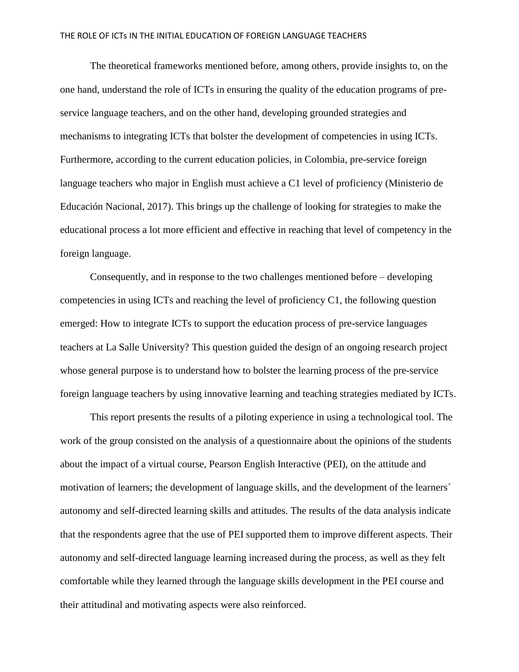The theoretical frameworks mentioned before, among others, provide insights to, on the one hand, understand the role of ICTs in ensuring the quality of the education programs of preservice language teachers, and on the other hand, developing grounded strategies and mechanisms to integrating ICTs that bolster the development of competencies in using ICTs. Furthermore, according to the current education policies, in Colombia, pre-service foreign language teachers who major in English must achieve a C1 level of proficiency (Ministerio de Educación Nacional, 2017). This brings up the challenge of looking for strategies to make the educational process a lot more efficient and effective in reaching that level of competency in the foreign language.

Consequently, and in response to the two challenges mentioned before – developing competencies in using ICTs and reaching the level of proficiency C1, the following question emerged: How to integrate ICTs to support the education process of pre-service languages teachers at La Salle University? This question guided the design of an ongoing research project whose general purpose is to understand how to bolster the learning process of the pre-service foreign language teachers by using innovative learning and teaching strategies mediated by ICTs.

This report presents the results of a piloting experience in using a technological tool. The work of the group consisted on the analysis of a questionnaire about the opinions of the students about the impact of a virtual course, Pearson English Interactive (PEI), on the attitude and motivation of learners; the development of language skills, and the development of the learners´ autonomy and self-directed learning skills and attitudes. The results of the data analysis indicate that the respondents agree that the use of PEI supported them to improve different aspects. Their autonomy and self-directed language learning increased during the process, as well as they felt comfortable while they learned through the language skills development in the PEI course and their attitudinal and motivating aspects were also reinforced.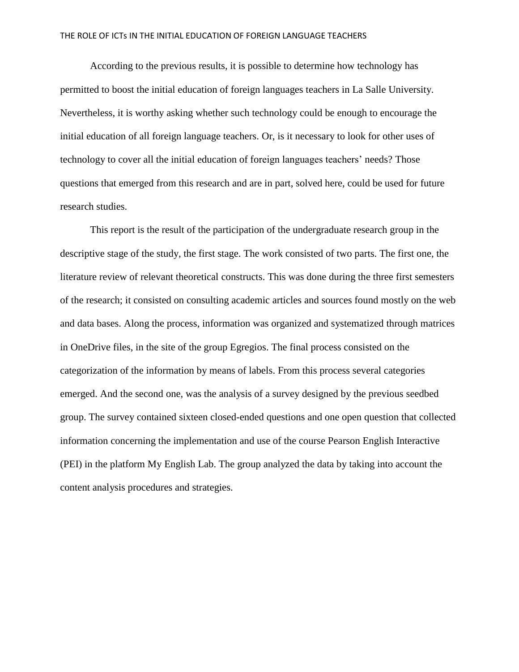According to the previous results, it is possible to determine how technology has permitted to boost the initial education of foreign languages teachers in La Salle University. Nevertheless, it is worthy asking whether such technology could be enough to encourage the initial education of all foreign language teachers. Or, is it necessary to look for other uses of technology to cover all the initial education of foreign languages teachers' needs? Those questions that emerged from this research and are in part, solved here, could be used for future research studies.

This report is the result of the participation of the undergraduate research group in the descriptive stage of the study, the first stage. The work consisted of two parts. The first one, the literature review of relevant theoretical constructs. This was done during the three first semesters of the research; it consisted on consulting academic articles and sources found mostly on the web and data bases. Along the process, information was organized and systematized through matrices in OneDrive files, in the site of the group Egregios. The final process consisted on the categorization of the information by means of labels. From this process several categories emerged. And the second one, was the analysis of a survey designed by the previous seedbed group. The survey contained sixteen closed-ended questions and one open question that collected information concerning the implementation and use of the course Pearson English Interactive (PEI) in the platform My English Lab. The group analyzed the data by taking into account the content analysis procedures and strategies.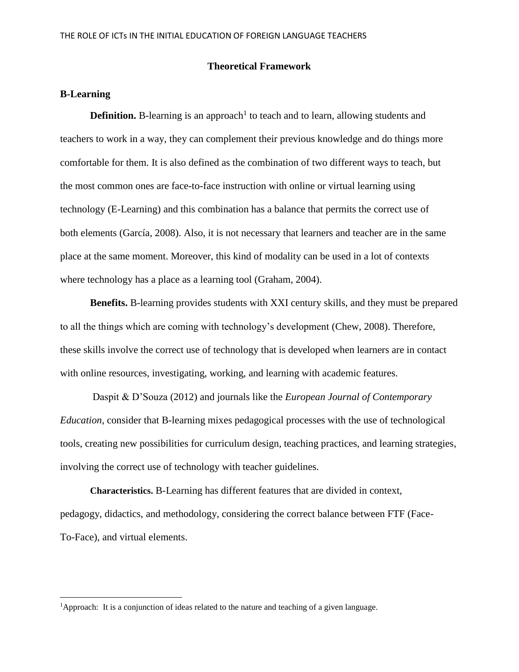### **Theoretical Framework**

## **B-Learning**

 $\overline{\phantom{a}}$ 

**Definition.** B-learning is an approach<sup>1</sup> to teach and to learn, allowing students and teachers to work in a way, they can complement their previous knowledge and do things more comfortable for them. It is also defined as the combination of two different ways to teach, but the most common ones are face-to-face instruction with online or virtual learning using technology (E-Learning) and this combination has a balance that permits the correct use of both elements (García, 2008). Also, it is not necessary that learners and teacher are in the same place at the same moment. Moreover, this kind of modality can be used in a lot of contexts where technology has a place as a learning tool (Graham, 2004).

**Benefits.** B-learning provides students with XXI century skills, and they must be prepared to all the things which are coming with technology's development (Chew, 2008). Therefore, these skills involve the correct use of technology that is developed when learners are in contact with online resources, investigating, working, and learning with academic features.

Daspit & D'Souza (2012) and journals like the *European Journal of Contemporary Education*, consider that B-learning mixes pedagogical processes with the use of technological tools, creating new possibilities for curriculum design, teaching practices, and learning strategies, involving the correct use of technology with teacher guidelines.

**Characteristics.** B-Learning has different features that are divided in context, pedagogy, didactics, and methodology, considering the correct balance between FTF (Face-To-Face), and virtual elements.

<sup>&</sup>lt;sup>1</sup>Approach: It is a conjunction of ideas related to the nature and teaching of a given language.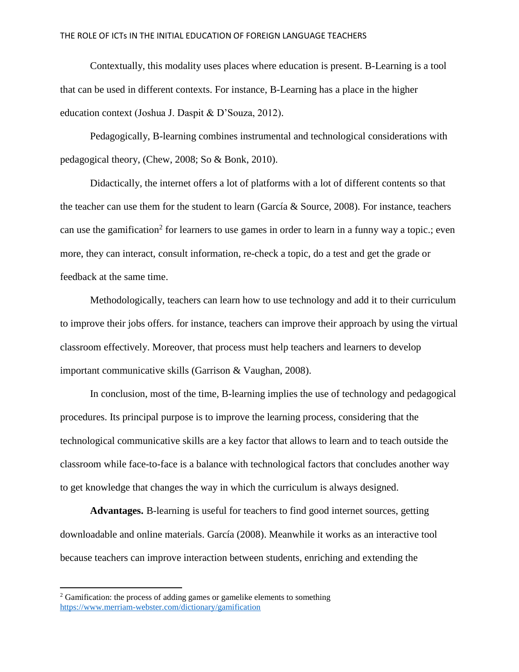Contextually, this modality uses places where education is present. B-Learning is a tool that can be used in different contexts. For instance, B-Learning has a place in the higher education context (Joshua J. Daspit & D'Souza, 2012).

Pedagogically, B-learning combines instrumental and technological considerations with pedagogical theory, (Chew, 2008; So & Bonk, 2010).

Didactically, the internet offers a lot of platforms with a lot of different contents so that the teacher can use them for the student to learn (García & Source, 2008). For instance, teachers can use the gamification<sup>2</sup> for learners to use games in order to learn in a funny way a topic.; even more, they can interact, consult information, re-check a topic, do a test and get the grade or feedback at the same time.

Methodologically, teachers can learn how to use technology and add it to their curriculum to improve their jobs offers. for instance, teachers can improve their approach by using the virtual classroom effectively. Moreover, that process must help teachers and learners to develop important communicative skills (Garrison & Vaughan, 2008).

In conclusion, most of the time, B-learning implies the use of technology and pedagogical procedures. Its principal purpose is to improve the learning process, considering that the technological communicative skills are a key factor that allows to learn and to teach outside the classroom while face-to-face is a balance with technological factors that concludes another way to get knowledge that changes the way in which the curriculum is always designed.

**Advantages.** B-learning is useful for teachers to find good internet sources, getting downloadable and online materials. García (2008). Meanwhile it works as an interactive tool because teachers can improve interaction between students, enriching and extending the

 $\overline{a}$ 

 $2$  Gamification: the process of adding games or gamelike elements to something <https://www.merriam-webster.com/dictionary/gamification>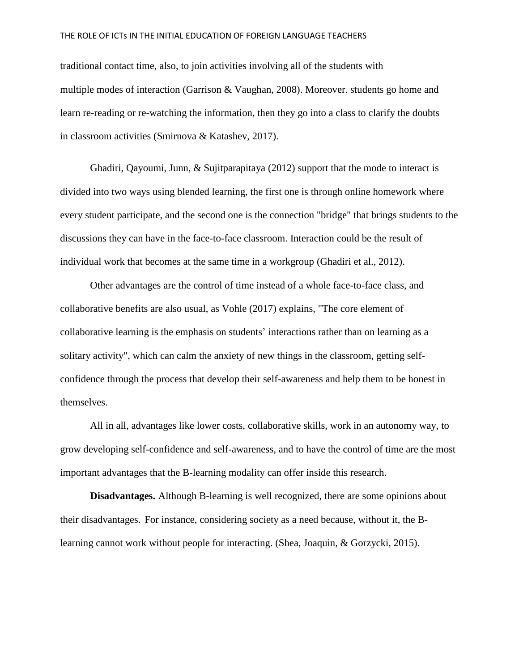traditional contact time, also, to join activities involving all of the students with multiple modes of interaction (Garrison & Vaughan, 2008). Moreover. students go home and learn re-reading or re-watching the information, then they go into a class to clarify the doubts in classroom activities (Smirnova & Katashev, 2017).

Ghadiri, Qayoumi, Junn, & Sujitparapitaya (2012) support that the mode to interact is divided into two ways using blended learning, the first one is through online homework where every student participate, and the second one is the connection "bridge" that brings students to the discussions they can have in the face-to-face classroom. Interaction could be the result of individual work that becomes at the same time in a workgroup (Ghadiri et al., 2012).

Other advantages are the control of time instead of a whole face-to-face class, and collaborative benefits are also usual, as Vohle (2017) explains, "The core element of collaborative learning is the emphasis on students' interactions rather than on learning as a solitary activity", which can calm the anxiety of new things in the classroom, getting selfconfidence through the process that develop their self-awareness and help them to be honest in themselves.

All in all, advantages like lower costs, collaborative skills, work in an autonomy way, to grow developing self-confidence and self-awareness, and to have the control of time are the most important advantages that the B-learning modality can offer inside this research.

**Disadvantages.** Although B-learning is well recognized, there are some opinions about their disadvantages. For instance, considering society as a need because, without it, the Blearning cannot work without people for interacting. (Shea, Joaquin, & Gorzycki, 2015).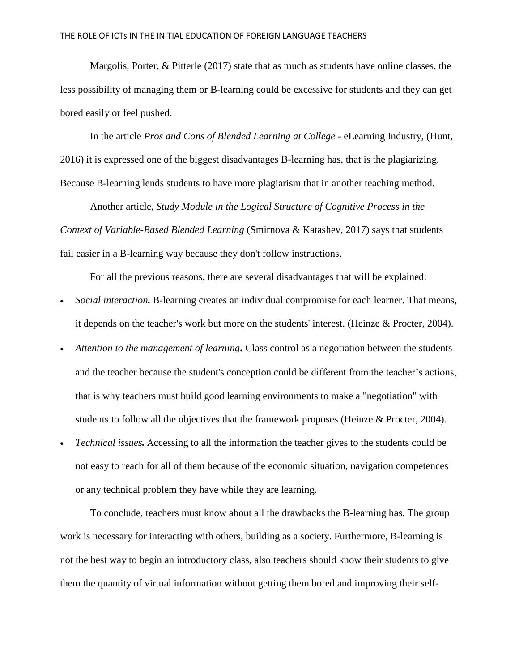Margolis, Porter, & Pitterle (2017) state that as much as students have online classes, the less possibility of managing them or B-learning could be excessive for students and they can get bored easily or feel pushed.

In the article *Pros and Cons of Blended Learning at College* - eLearning Industry, (Hunt, 2016) it is expressed one of the biggest disadvantages B-learning has, that is the plagiarizing. Because B-learning lends students to have more plagiarism that in another teaching method.

Another article, *Study Module in the Logical Structure of Cognitive Process in the Context of Variable-Based Blended Learning* (Smirnova & Katashev, 2017) says that students fail easier in a B-learning way because they don't follow instructions.

For all the previous reasons, there are several disadvantages that will be explained:

- *Social interaction.* B-learning creates an individual compromise for each learner. That means, it depends on the teacher's work but more on the students' interest. (Heinze & Procter, 2004).
- *Attention to the management of learning***.** Class control as a negotiation between the students and the teacher because the student's conception could be different from the teacher's actions, that is why teachers must build good learning environments to make a "negotiation" with students to follow all the objectives that the framework proposes (Heinze & Procter, 2004).
- *Technical issues.* Accessing to all the information the teacher gives to the students could be not easy to reach for all of them because of the economic situation, navigation competences or any technical problem they have while they are learning.

To conclude, teachers must know about all the drawbacks the B-learning has. The group work is necessary for interacting with others, building as a society. Furthermore, B-learning is not the best way to begin an introductory class, also teachers should know their students to give them the quantity of virtual information without getting them bored and improving their self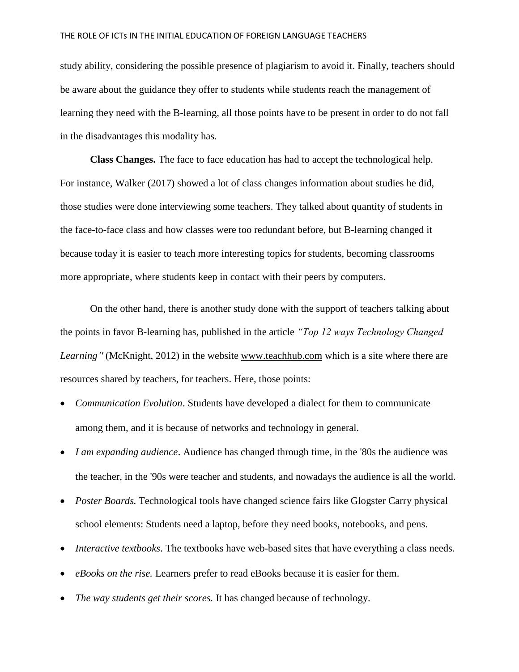study ability, considering the possible presence of plagiarism to avoid it. Finally, teachers should be aware about the guidance they offer to students while students reach the management of learning they need with the B-learning, all those points have to be present in order to do not fall in the disadvantages this modality has.

**Class Changes.** The face to face education has had to accept the technological help. For instance, Walker (2017) showed a lot of class changes information about studies he did, those studies were done interviewing some teachers. They talked about quantity of students in the face-to-face class and how classes were too redundant before, but B-learning changed it because today it is easier to teach more interesting topics for students, becoming classrooms more appropriate, where students keep in contact with their peers by computers.

On the other hand, there is another study done with the support of teachers talking about the points in favor B-learning has, published in the article *"Top 12 ways Technology Changed Learning''* (McKnight, 2012) in the website www.teachhub.com which is a site where there are resources shared by teachers, for teachers. Here, those points:

- *Communication Evolution*. Students have developed a dialect for them to communicate among them, and it is because of networks and technology in general.
- *I am expanding audience*. Audience has changed through time, in the '80s the audience was the teacher, in the '90s were teacher and students, and nowadays the audience is all the world.
- *Poster Boards.* Technological tools have changed science fairs like Glogster Carry physical school elements: Students need a laptop, before they need books, notebooks, and pens.
- *Interactive textbooks*. The textbooks have web-based sites that have everything a class needs.
- *eBooks on the rise.* Learners prefer to read eBooks because it is easier for them.
- *The way students get their scores.* It has changed because of technology.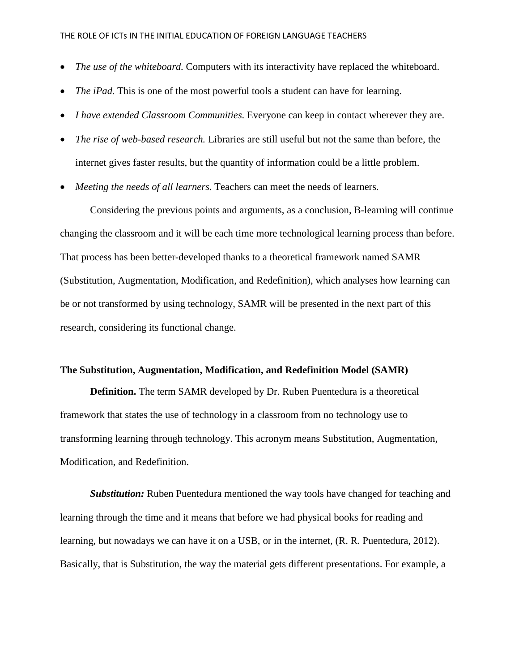- *The use of the whiteboard.* Computers with its interactivity have replaced the whiteboard.
- *The iPad.* This is one of the most powerful tools a student can have for learning.
- *I have extended Classroom Communities.* Everyone can keep in contact wherever they are.
- *The rise of web-based research.* Libraries are still useful but not the same than before, the internet gives faster results, but the quantity of information could be a little problem.
- *Meeting the needs of all learners.* Teachers can meet the needs of learners.

Considering the previous points and arguments, as a conclusion, B-learning will continue changing the classroom and it will be each time more technological learning process than before. That process has been better-developed thanks to a theoretical framework named SAMR (Substitution, Augmentation, Modification, and Redefinition), which analyses how learning can be or not transformed by using technology, SAMR will be presented in the next part of this research, considering its functional change.

### **The Substitution, Augmentation, Modification, and Redefinition Model (SAMR)**

**Definition.** The term SAMR developed by Dr. Ruben Puentedura is a theoretical framework that states the use of technology in a classroom from no technology use to transforming learning through technology. This acronym means Substitution, Augmentation, Modification, and Redefinition.

*Substitution:* Ruben Puentedura mentioned the way tools have changed for teaching and learning through the time and it means that before we had physical books for reading and learning, but nowadays we can have it on a USB, or in the internet, (R. R. Puentedura, 2012). Basically, that is Substitution, the way the material gets different presentations. For example, a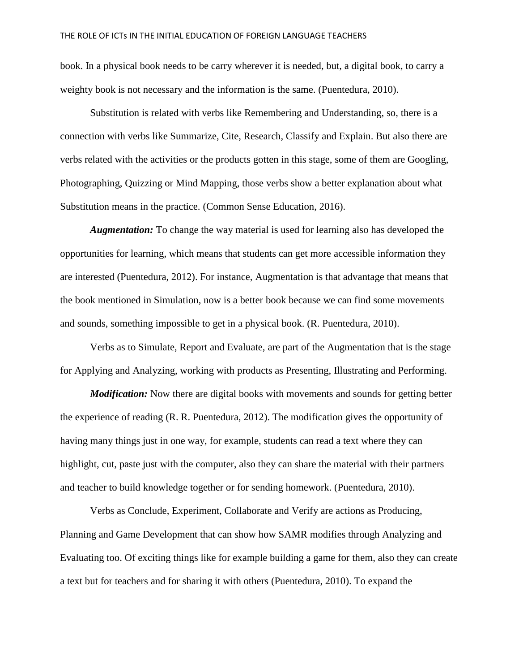book. In a physical book needs to be carry wherever it is needed, but, a digital book, to carry a weighty book is not necessary and the information is the same. (Puentedura, 2010).

Substitution is related with verbs like Remembering and Understanding, so, there is a connection with verbs like Summarize, Cite, Research, Classify and Explain. But also there are verbs related with the activities or the products gotten in this stage, some of them are Googling, Photographing, Quizzing or Mind Mapping, those verbs show a better explanation about what Substitution means in the practice. (Common Sense Education, 2016).

*Augmentation:* To change the way material is used for learning also has developed the opportunities for learning, which means that students can get more accessible information they are interested (Puentedura, 2012). For instance, Augmentation is that advantage that means that the book mentioned in Simulation, now is a better book because we can find some movements and sounds, something impossible to get in a physical book. (R. Puentedura, 2010).

Verbs as to Simulate, Report and Evaluate, are part of the Augmentation that is the stage for Applying and Analyzing, working with products as Presenting, Illustrating and Performing.

*Modification:* Now there are digital books with movements and sounds for getting better the experience of reading (R. R. Puentedura, 2012). The modification gives the opportunity of having many things just in one way, for example, students can read a text where they can highlight, cut, paste just with the computer, also they can share the material with their partners and teacher to build knowledge together or for sending homework. (Puentedura, 2010).

Verbs as Conclude, Experiment, Collaborate and Verify are actions as Producing, Planning and Game Development that can show how SAMR modifies through Analyzing and Evaluating too. Of exciting things like for example building a game for them, also they can create a text but for teachers and for sharing it with others (Puentedura, 2010). To expand the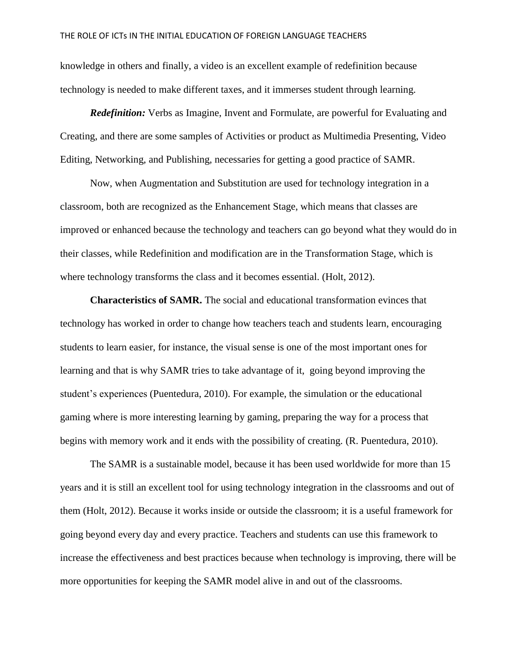knowledge in others and finally, a video is an excellent example of redefinition because technology is needed to make different taxes, and it immerses student through learning.

*Redefinition:* Verbs as Imagine, Invent and Formulate, are powerful for Evaluating and Creating, and there are some samples of Activities or product as Multimedia Presenting, Video Editing, Networking, and Publishing, necessaries for getting a good practice of SAMR.

Now, when Augmentation and Substitution are used for technology integration in a classroom, both are recognized as the Enhancement Stage, which means that classes are improved or enhanced because the technology and teachers can go beyond what they would do in their classes, while Redefinition and modification are in the Transformation Stage, which is where technology transforms the class and it becomes essential. (Holt, 2012).

**Characteristics of SAMR.** The social and educational transformation evinces that technology has worked in order to change how teachers teach and students learn, encouraging students to learn easier, for instance, the visual sense is one of the most important ones for learning and that is why SAMR tries to take advantage of it, going beyond improving the student's experiences (Puentedura, 2010). For example, the simulation or the educational gaming where is more interesting learning by gaming, preparing the way for a process that begins with memory work and it ends with the possibility of creating. (R. Puentedura, 2010).

The SAMR is a sustainable model, because it has been used worldwide for more than 15 years and it is still an excellent tool for using technology integration in the classrooms and out of them (Holt, 2012). Because it works inside or outside the classroom; it is a useful framework for going beyond every day and every practice. Teachers and students can use this framework to increase the effectiveness and best practices because when technology is improving, there will be more opportunities for keeping the SAMR model alive in and out of the classrooms.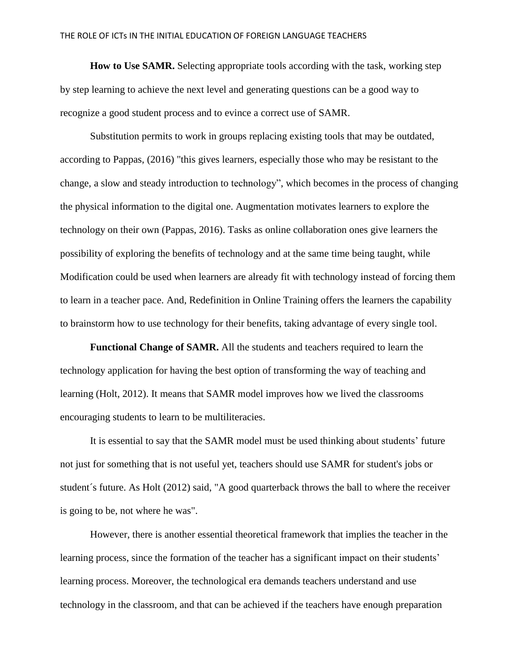**How to Use SAMR.** Selecting appropriate tools according with the task, working step by step learning to achieve the next level and generating questions can be a good way to recognize a good student process and to evince a correct use of SAMR.

Substitution permits to work in groups replacing existing tools that may be outdated, according to Pappas, (2016) "this gives learners, especially those who may be resistant to the change, a slow and steady introduction to technology", which becomes in the process of changing the physical information to the digital one. Augmentation motivates learners to explore the technology on their own (Pappas, 2016). Tasks as online collaboration ones give learners the possibility of exploring the benefits of technology and at the same time being taught, while Modification could be used when learners are already fit with technology instead of forcing them to learn in a teacher pace. And, Redefinition in Online Training offers the learners the capability to brainstorm how to use technology for their benefits, taking advantage of every single tool.

**Functional Change of SAMR.** All the students and teachers required to learn the technology application for having the best option of transforming the way of teaching and learning (Holt, 2012). It means that SAMR model improves how we lived the classrooms encouraging students to learn to be multiliteracies.

It is essential to say that the SAMR model must be used thinking about students' future not just for something that is not useful yet, teachers should use SAMR for student's jobs or student´s future. As Holt (2012) said, "A good quarterback throws the ball to where the receiver is going to be, not where he was".

However, there is another essential theoretical framework that implies the teacher in the learning process, since the formation of the teacher has a significant impact on their students' learning process. Moreover, the technological era demands teachers understand and use technology in the classroom, and that can be achieved if the teachers have enough preparation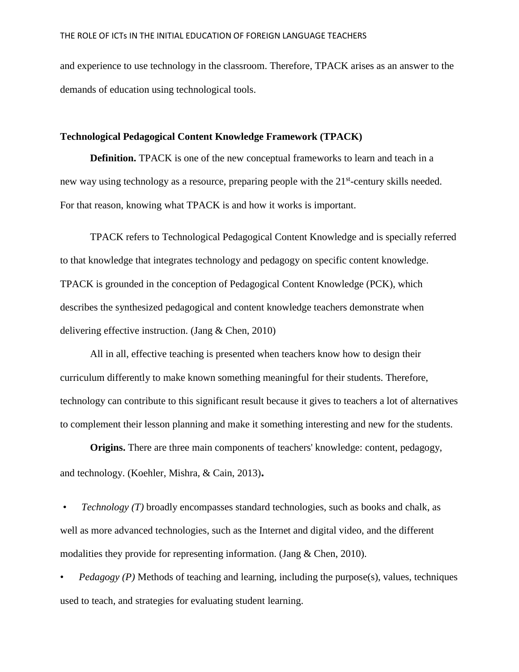and experience to use technology in the classroom. Therefore, TPACK arises as an answer to the demands of education using technological tools.

## **Technological Pedagogical Content Knowledge Framework (TPACK)**

**Definition.** TPACK is one of the new conceptual frameworks to learn and teach in a new way using technology as a resource, preparing people with the 21<sup>st</sup>-century skills needed. For that reason, knowing what TPACK is and how it works is important.

TPACK refers to Technological Pedagogical Content Knowledge and is specially referred to that knowledge that integrates technology and pedagogy on specific content knowledge. TPACK is grounded in the conception of Pedagogical Content Knowledge (PCK), which describes the synthesized pedagogical and content knowledge teachers demonstrate when delivering effective instruction. (Jang & Chen, 2010)

All in all, effective teaching is presented when teachers know how to design their curriculum differently to make known something meaningful for their students. Therefore, technology can contribute to this significant result because it gives to teachers a lot of alternatives to complement their lesson planning and make it something interesting and new for the students.

**Origins.** There are three main components of teachers' knowledge: content, pedagogy, and technology. (Koehler, Mishra, & Cain, 2013)**.**

*• Technology (T)* broadly encompasses standard technologies, such as books and chalk, as well as more advanced technologies, such as the Internet and digital video, and the different modalities they provide for representing information. (Jang & Chen, 2010).

• *Pedagogy (P)* Methods of teaching and learning, including the purpose(s), values, techniques used to teach, and strategies for evaluating student learning.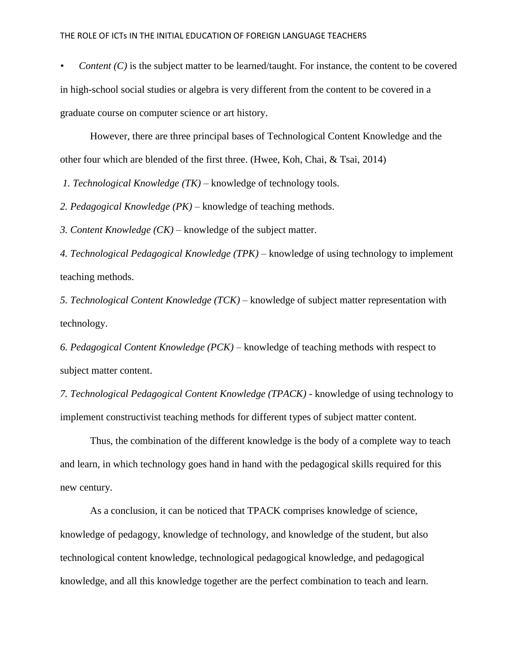*Content (C)* is the subject matter to be learned/taught. For instance, the content to be covered in high-school social studies or algebra is very different from the content to be covered in a graduate course on computer science or art history.

However, there are three principal bases of Technological Content Knowledge and the other four which are blended of the first three. (Hwee, Koh, Chai, & Tsai, 2014)

*1. Technological Knowledge (TK)* – knowledge of technology tools.

*2. Pedagogical Knowledge (PK)* – knowledge of teaching methods.

*3. Content Knowledge (CK)* – knowledge of the subject matter.

*4. Technological Pedagogical Knowledge (TPK)* – knowledge of using technology to implement teaching methods.

*5. Technological Content Knowledge (TCK)* – knowledge of subject matter representation with technology.

*6. Pedagogical Content Knowledge (PCK)* – knowledge of teaching methods with respect to subject matter content.

*7. Technological Pedagogical Content Knowledge (TPACK)* - knowledge of using technology to implement constructivist teaching methods for different types of subject matter content.

Thus, the combination of the different knowledge is the body of a complete way to teach and learn, in which technology goes hand in hand with the pedagogical skills required for this new century.

As a conclusion, it can be noticed that TPACK comprises knowledge of science, knowledge of pedagogy, knowledge of technology, and knowledge of the student, but also technological content knowledge, technological pedagogical knowledge, and pedagogical knowledge, and all this knowledge together are the perfect combination to teach and learn.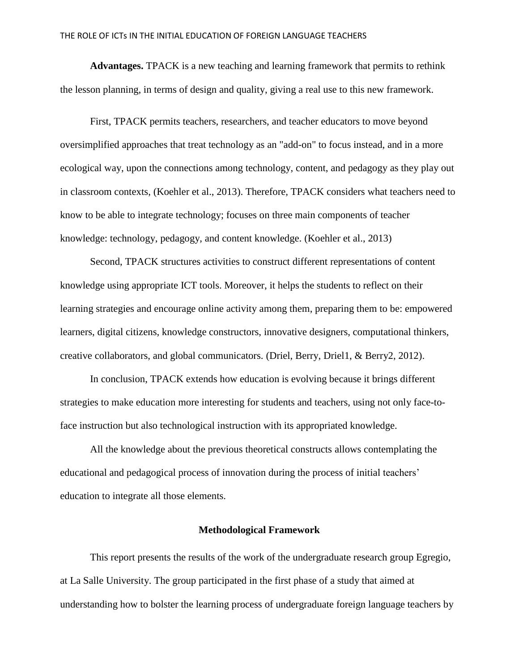**Advantages.** TPACK is a new teaching and learning framework that permits to rethink the lesson planning, in terms of design and quality, giving a real use to this new framework.

First, TPACK permits teachers, researchers, and teacher educators to move beyond oversimplified approaches that treat technology as an "add-on" to focus instead, and in a more ecological way, upon the connections among technology, content, and pedagogy as they play out in classroom contexts, (Koehler et al., 2013). Therefore, TPACK considers what teachers need to know to be able to integrate technology; focuses on three main components of teacher knowledge: technology, pedagogy, and content knowledge. (Koehler et al., 2013)

Second, TPACK structures activities to construct different representations of content knowledge using appropriate ICT tools. Moreover, it helps the students to reflect on their learning strategies and encourage online activity among them, preparing them to be: empowered learners, digital citizens, knowledge constructors, innovative designers, computational thinkers, creative collaborators, and global communicators. (Driel, Berry, Driel1, & Berry2, 2012).

In conclusion, TPACK extends how education is evolving because it brings different strategies to make education more interesting for students and teachers, using not only face-toface instruction but also technological instruction with its appropriated knowledge.

All the knowledge about the previous theoretical constructs allows contemplating the educational and pedagogical process of innovation during the process of initial teachers' education to integrate all those elements.

### **Methodological Framework**

This report presents the results of the work of the undergraduate research group Egregio, at La Salle University. The group participated in the first phase of a study that aimed at understanding how to bolster the learning process of undergraduate foreign language teachers by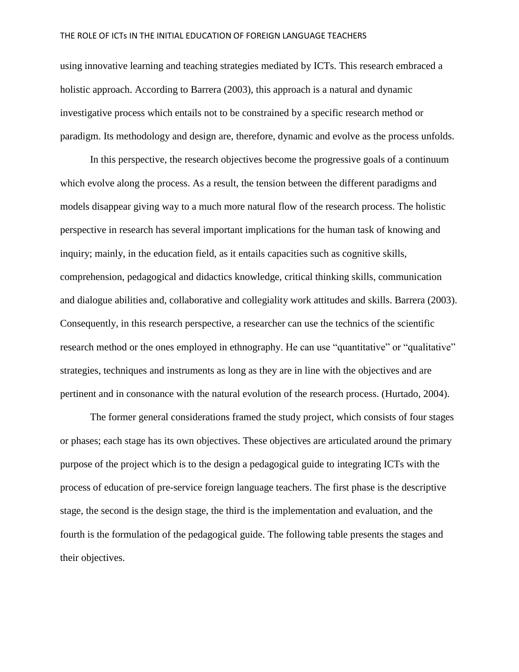using innovative learning and teaching strategies mediated by ICTs. This research embraced a holistic approach. According to Barrera (2003), this approach is a natural and dynamic investigative process which entails not to be constrained by a specific research method or paradigm. Its methodology and design are, therefore, dynamic and evolve as the process unfolds.

In this perspective, the research objectives become the progressive goals of a continuum which evolve along the process. As a result, the tension between the different paradigms and models disappear giving way to a much more natural flow of the research process. The holistic perspective in research has several important implications for the human task of knowing and inquiry; mainly, in the education field, as it entails capacities such as cognitive skills, comprehension, pedagogical and didactics knowledge, critical thinking skills, communication and dialogue abilities and, collaborative and collegiality work attitudes and skills. Barrera (2003). Consequently, in this research perspective, a researcher can use the technics of the scientific research method or the ones employed in ethnography. He can use "quantitative" or "qualitative" strategies, techniques and instruments as long as they are in line with the objectives and are pertinent and in consonance with the natural evolution of the research process. (Hurtado, 2004).

The former general considerations framed the study project, which consists of four stages or phases; each stage has its own objectives. These objectives are articulated around the primary purpose of the project which is to the design a pedagogical guide to integrating ICTs with the process of education of pre-service foreign language teachers. The first phase is the descriptive stage, the second is the design stage, the third is the implementation and evaluation, and the fourth is the formulation of the pedagogical guide. The following table presents the stages and their objectives.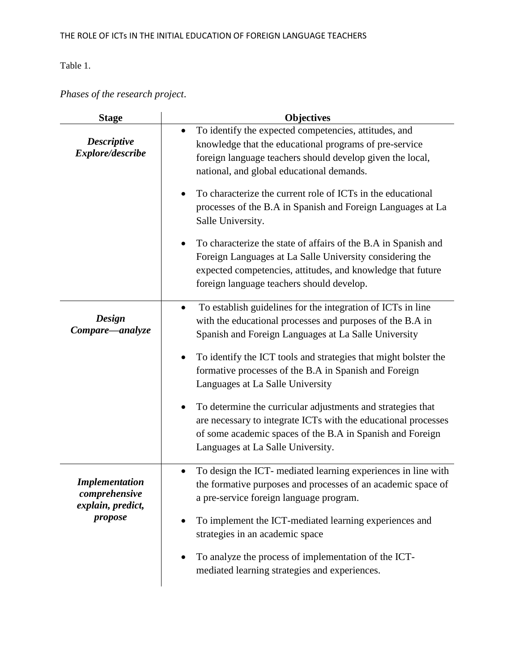Table 1.

*Phases of the research project*.

| <b>Stage</b>                                                           | <b>Objectives</b>                                                                                                                                                                                                                                                                                                                                                                                                                                                                                                                                                                                                      |
|------------------------------------------------------------------------|------------------------------------------------------------------------------------------------------------------------------------------------------------------------------------------------------------------------------------------------------------------------------------------------------------------------------------------------------------------------------------------------------------------------------------------------------------------------------------------------------------------------------------------------------------------------------------------------------------------------|
| <b>Descriptive</b><br>Explore/describe                                 | To identify the expected competencies, attitudes, and<br>knowledge that the educational programs of pre-service<br>foreign language teachers should develop given the local,<br>national, and global educational demands.<br>To characterize the current role of ICTs in the educational<br>processes of the B.A in Spanish and Foreign Languages at La<br>Salle University.<br>To characterize the state of affairs of the B.A in Spanish and<br>Foreign Languages at La Salle University considering the<br>expected competencies, attitudes, and knowledge that future<br>foreign language teachers should develop. |
| <b>Design</b><br>Compare—analyze                                       | To establish guidelines for the integration of ICTs in line<br>$\bullet$<br>with the educational processes and purposes of the B.A in<br>Spanish and Foreign Languages at La Salle University<br>To identify the ICT tools and strategies that might bolster the<br>formative processes of the B.A in Spanish and Foreign<br>Languages at La Salle University<br>To determine the curricular adjustments and strategies that<br>are necessary to integrate ICTs with the educational processes<br>of some academic spaces of the B.A in Spanish and Foreign<br>Languages at La Salle University.                       |
| <b>Implementation</b><br>comprehensive<br>explain, predict,<br>propose | To design the ICT- mediated learning experiences in line with<br>$\bullet$<br>the formative purposes and processes of an academic space of<br>a pre-service foreign language program.<br>To implement the ICT-mediated learning experiences and<br>$\bullet$<br>strategies in an academic space<br>To analyze the process of implementation of the ICT-<br>mediated learning strategies and experiences.                                                                                                                                                                                                               |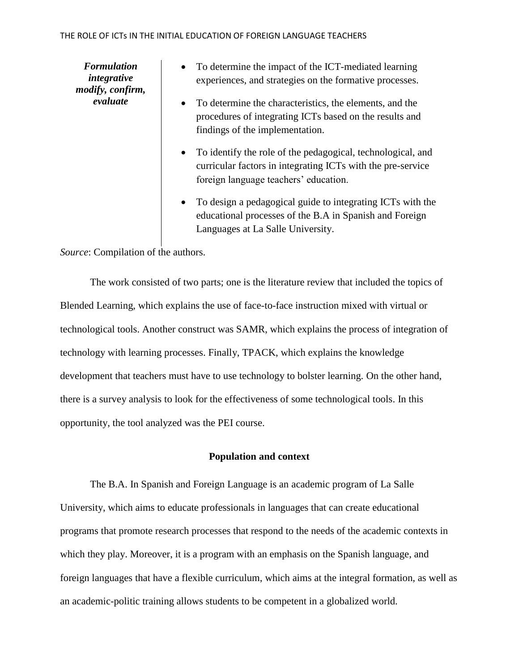*Formulation integrative modify, confirm, evaluate*

- To determine the impact of the ICT-mediated learning experiences, and strategies on the formative processes.
- To determine the characteristics, the elements, and the procedures of integrating ICTs based on the results and findings of the implementation.
- To identify the role of the pedagogical, technological, and curricular factors in integrating ICTs with the pre-service foreign language teachers' education.
- To design a pedagogical guide to integrating ICTs with the educational processes of the B.A in Spanish and Foreign Languages at La Salle University.

*Source*: Compilation of the authors.

The work consisted of two parts; one is the literature review that included the topics of Blended Learning, which explains the use of face-to-face instruction mixed with virtual or technological tools. Another construct was SAMR, which explains the process of integration of technology with learning processes. Finally, TPACK, which explains the knowledge development that teachers must have to use technology to bolster learning. On the other hand, there is a survey analysis to look for the effectiveness of some technological tools. In this opportunity, the tool analyzed was the PEI course.

### **Population and context**

The B.A. In Spanish and Foreign Language is an academic program of La Salle University, which aims to educate professionals in languages that can create educational programs that promote research processes that respond to the needs of the academic contexts in which they play. Moreover, it is a program with an emphasis on the Spanish language, and foreign languages that have a flexible curriculum, which aims at the integral formation, as well as an academic-politic training allows students to be competent in a globalized world.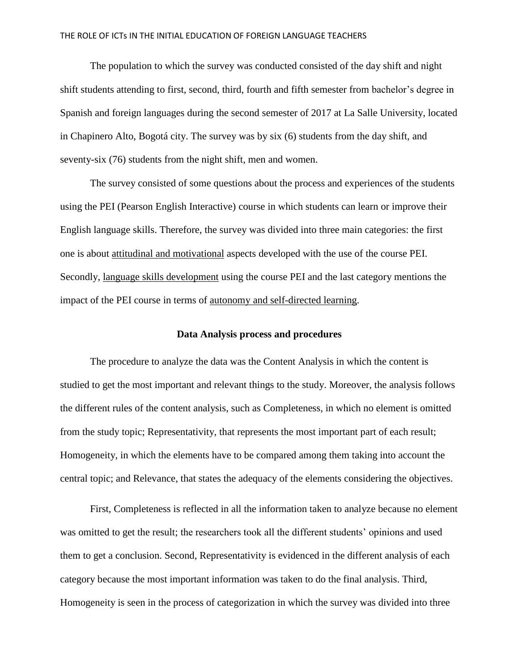The population to which the survey was conducted consisted of the day shift and night shift students attending to first, second, third, fourth and fifth semester from bachelor's degree in Spanish and foreign languages during the second semester of 2017 at La Salle University, located in Chapinero Alto, Bogotá city. The survey was by six (6) students from the day shift, and seventy-six (76) students from the night shift, men and women.

The survey consisted of some questions about the process and experiences of the students using the PEI (Pearson English Interactive) course in which students can learn or improve their English language skills. Therefore, the survey was divided into three main categories: the first one is about attitudinal and motivational aspects developed with the use of the course PEI. Secondly, language skills development using the course PEI and the last category mentions the impact of the PEI course in terms of autonomy and self-directed learning.

### **Data Analysis process and procedures**

The procedure to analyze the data was the Content Analysis in which the content is studied to get the most important and relevant things to the study. Moreover, the analysis follows the different rules of the content analysis, such as Completeness, in which no element is omitted from the study topic; Representativity, that represents the most important part of each result; Homogeneity, in which the elements have to be compared among them taking into account the central topic; and Relevance, that states the adequacy of the elements considering the objectives.

First, Completeness is reflected in all the information taken to analyze because no element was omitted to get the result; the researchers took all the different students' opinions and used them to get a conclusion. Second, Representativity is evidenced in the different analysis of each category because the most important information was taken to do the final analysis. Third, Homogeneity is seen in the process of categorization in which the survey was divided into three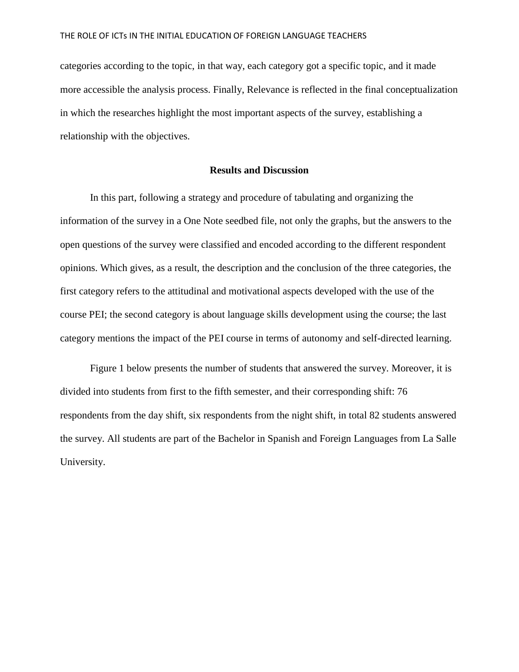categories according to the topic, in that way, each category got a specific topic, and it made more accessible the analysis process. Finally, Relevance is reflected in the final conceptualization in which the researches highlight the most important aspects of the survey, establishing a relationship with the objectives.

### **Results and Discussion**

In this part, following a strategy and procedure of tabulating and organizing the information of the survey in a One Note seedbed file, not only the graphs, but the answers to the open questions of the survey were classified and encoded according to the different respondent opinions. Which gives, as a result, the description and the conclusion of the three categories, the first category refers to the attitudinal and motivational aspects developed with the use of the course PEI; the second category is about language skills development using the course; the last category mentions the impact of the PEI course in terms of autonomy and self-directed learning.

Figure 1 below presents the number of students that answered the survey. Moreover, it is divided into students from first to the fifth semester, and their corresponding shift: 76 respondents from the day shift, six respondents from the night shift, in total 82 students answered the survey. All students are part of the Bachelor in Spanish and Foreign Languages from La Salle University.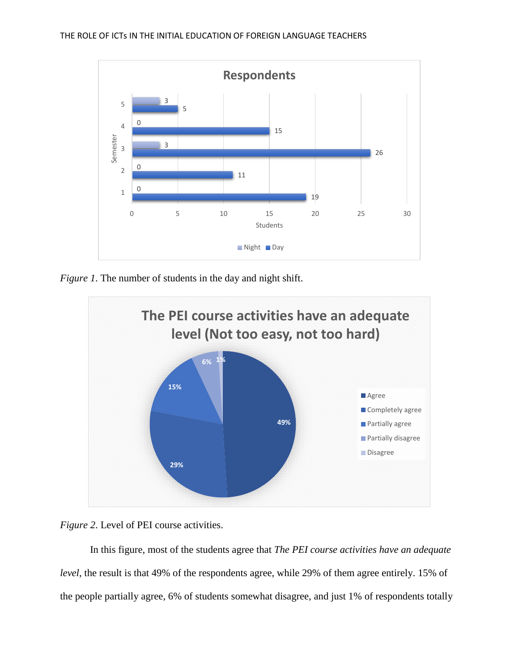

*Figure 1*. The number of students in the day and night shift.





In this figure, most of the students agree that *The PEI course activities have an adequate level*, the result is that 49% of the respondents agree, while 29% of them agree entirely. 15% of the people partially agree, 6% of students somewhat disagree, and just 1% of respondents totally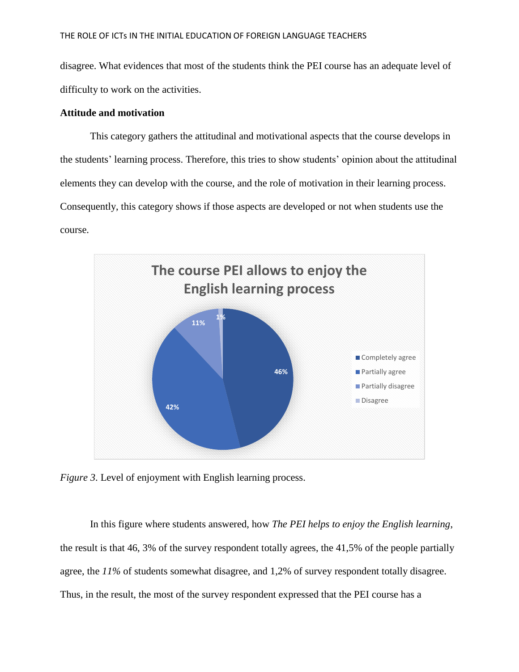disagree. What evidences that most of the students think the PEI course has an adequate level of difficulty to work on the activities.

## **Attitude and motivation**

This category gathers the attitudinal and motivational aspects that the course develops in the students' learning process. Therefore, this tries to show students' opinion about the attitudinal elements they can develop with the course, and the role of motivation in their learning process. Consequently, this category shows if those aspects are developed or not when students use the course.



*Figure 3*. Level of enjoyment with English learning process.

In this figure where students answered, how *The PEI helps to enjoy the English learning*, the result is that 46, 3% of the survey respondent totally agrees, the 41,5% of the people partially agree, the *11%* of students somewhat disagree, and 1,2% of survey respondent totally disagree. Thus, in the result, the most of the survey respondent expressed that the PEI course has a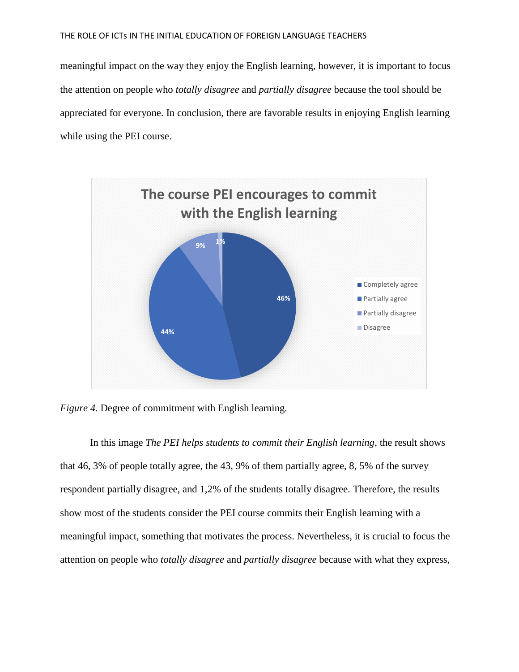meaningful impact on the way they enjoy the English learning, however, it is important to focus the attention on people who *totally disagree* and *partially disagree* because the tool should be appreciated for everyone. In conclusion, there are favorable results in enjoying English learning while using the PEI course.



*Figure 4*. Degree of commitment with English learning.

In this image *The PEI helps students to commit their English learning*, the result shows that 46, 3% of people totally agree, the 43, 9% of them partially agree, 8, 5% of the survey respondent partially disagree, and 1,2% of the students totally disagree. Therefore, the results show most of the students consider the PEI course commits their English learning with a meaningful impact, something that motivates the process. Nevertheless, it is crucial to focus the attention on people who *totally disagree* and *partially disagree* because with what they express,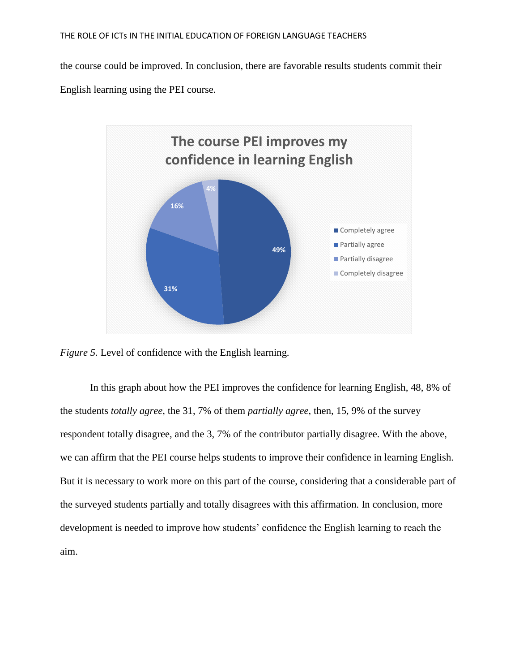the course could be improved. In conclusion, there are favorable results students commit their English learning using the PEI course.



*Figure 5.* Level of confidence with the English learning.

In this graph about how the PEI improves the confidence for learning English, 48, 8% of the students *totally agree*, the 31, 7% of them *partially agree*, then, 15, 9% of the survey respondent totally disagree, and the 3, 7% of the contributor partially disagree. With the above, we can affirm that the PEI course helps students to improve their confidence in learning English. But it is necessary to work more on this part of the course, considering that a considerable part of the surveyed students partially and totally disagrees with this affirmation. In conclusion, more development is needed to improve how students' confidence the English learning to reach the aim.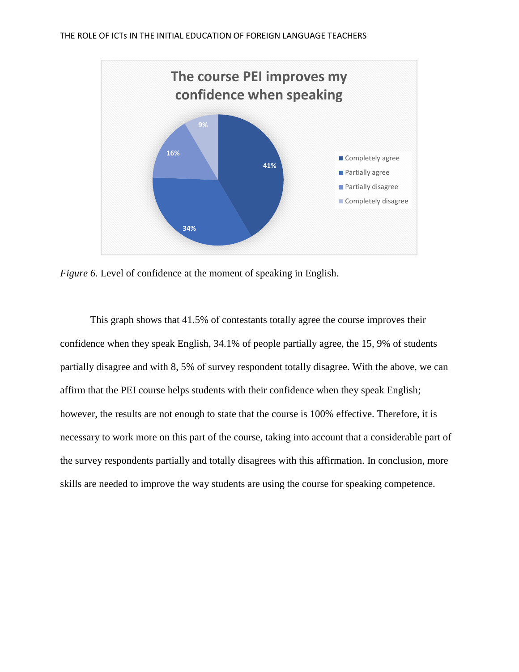

*Figure 6*. Level of confidence at the moment of speaking in English.

This graph shows that 41.5% of contestants totally agree the course improves their confidence when they speak English, 34.1% of people partially agree, the 15, 9% of students partially disagree and with 8, 5% of survey respondent totally disagree. With the above, we can affirm that the PEI course helps students with their confidence when they speak English; however, the results are not enough to state that the course is 100% effective. Therefore, it is necessary to work more on this part of the course, taking into account that a considerable part of the survey respondents partially and totally disagrees with this affirmation. In conclusion, more skills are needed to improve the way students are using the course for speaking competence.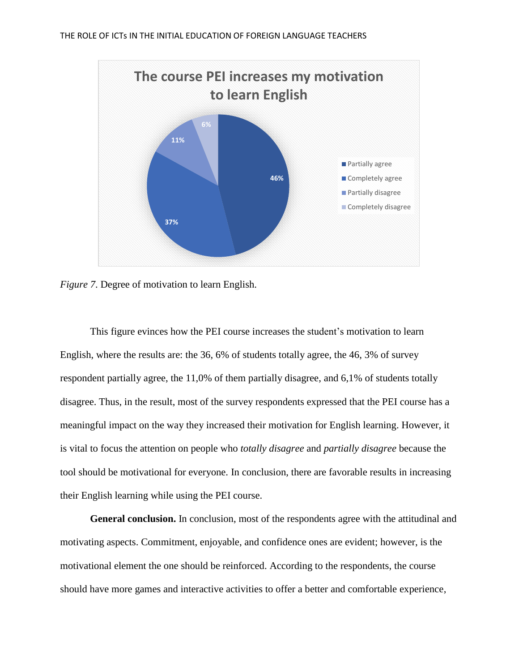

*Figure 7*. Degree of motivation to learn English.

This figure evinces how the PEI course increases the student's motivation to learn English, where the results are: the 36, 6% of students totally agree, the 46, 3% of survey respondent partially agree, the 11,0% of them partially disagree, and 6,1% of students totally disagree. Thus, in the result, most of the survey respondents expressed that the PEI course has a meaningful impact on the way they increased their motivation for English learning. However, it is vital to focus the attention on people who *totally disagree* and *partially disagree* because the tool should be motivational for everyone. In conclusion, there are favorable results in increasing their English learning while using the PEI course.

**General conclusion.** In conclusion, most of the respondents agree with the attitudinal and motivating aspects. Commitment, enjoyable, and confidence ones are evident; however, is the motivational element the one should be reinforced. According to the respondents, the course should have more games and interactive activities to offer a better and comfortable experience,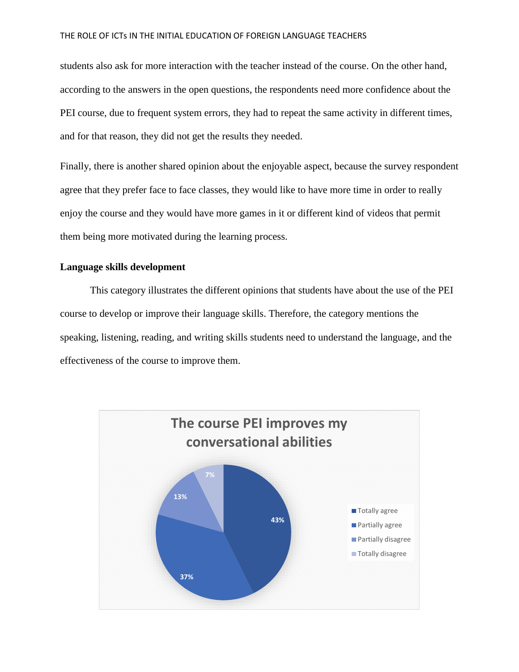students also ask for more interaction with the teacher instead of the course. On the other hand, according to the answers in the open questions, the respondents need more confidence about the PEI course, due to frequent system errors, they had to repeat the same activity in different times, and for that reason, they did not get the results they needed.

Finally, there is another shared opinion about the enjoyable aspect, because the survey respondent agree that they prefer face to face classes, they would like to have more time in order to really enjoy the course and they would have more games in it or different kind of videos that permit them being more motivated during the learning process.

### **Language skills development**

This category illustrates the different opinions that students have about the use of the PEI course to develop or improve their language skills. Therefore, the category mentions the speaking, listening, reading, and writing skills students need to understand the language, and the effectiveness of the course to improve them.

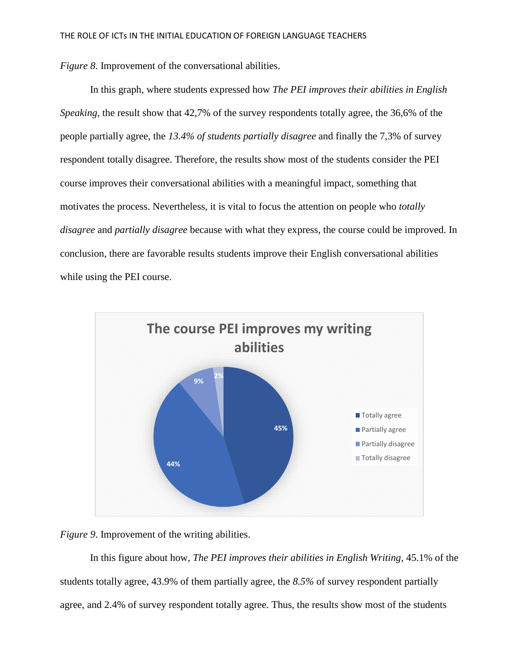*Figure 8*. Improvement of the conversational abilities.

In this graph, where students expressed how *The PEI improves their abilities in English Speaking*, the result show that 42,7% of the survey respondents totally agree, the 36,6% of the people partially agree, the *13.4% of students partially disagree* and finally the 7,3% of survey respondent totally disagree. Therefore, the results show most of the students consider the PEI course improves their conversational abilities with a meaningful impact, something that motivates the process. Nevertheless, it is vital to focus the attention on people who *totally disagree* and *partially disagree* because with what they express, the course could be improved. In conclusion, there are favorable results students improve their English conversational abilities while using the PEI course.



*Figure 9*. Improvement of the writing abilities.

In this figure about how, *The PEI improves their abilities in English Writing*, 45.1% of the students totally agree, 43.9% of them partially agree, the *8.5%* of survey respondent partially agree, and 2.4% of survey respondent totally agree. Thus, the results show most of the students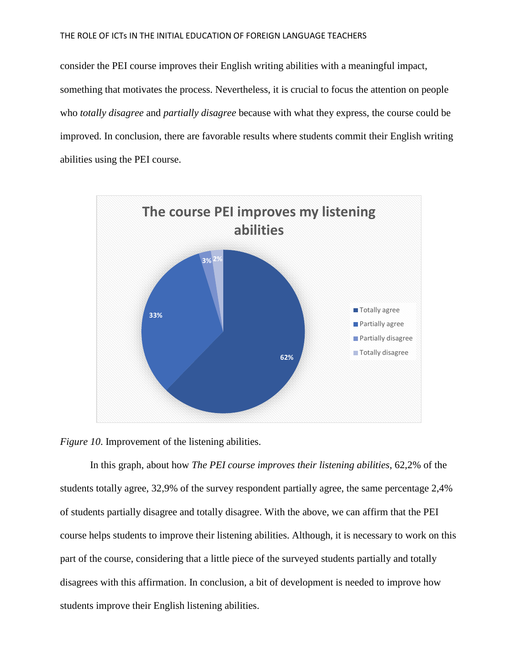consider the PEI course improves their English writing abilities with a meaningful impact, something that motivates the process. Nevertheless, it is crucial to focus the attention on people who *totally disagree* and *partially disagree* because with what they express, the course could be improved. In conclusion, there are favorable results where students commit their English writing abilities using the PEI course.



*Figure 10.* Improvement of the listening abilities.

In this graph, about how *The PEI course improves their listening abilities*, 62,2% of the students totally agree, 32,9% of the survey respondent partially agree, the same percentage 2,4% of students partially disagree and totally disagree. With the above, we can affirm that the PEI course helps students to improve their listening abilities. Although, it is necessary to work on this part of the course, considering that a little piece of the surveyed students partially and totally disagrees with this affirmation. In conclusion, a bit of development is needed to improve how students improve their English listening abilities.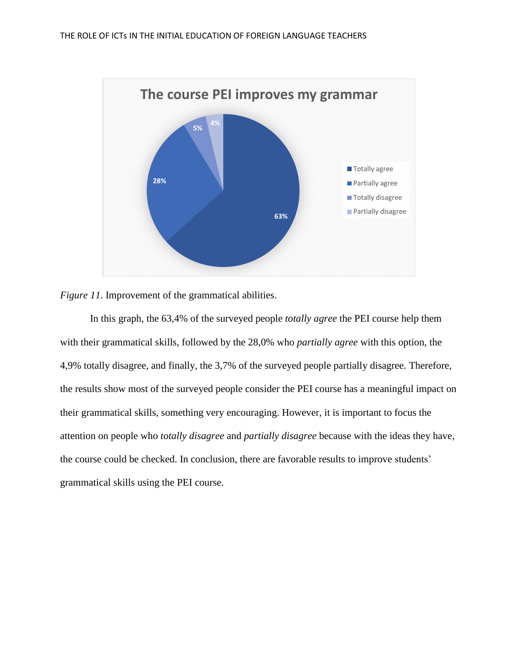



In this graph, the 63,4% of the surveyed people *totally agree* the PEI course help them with their grammatical skills, followed by the 28,0% who *partially agree* with this option, the 4,9% totally disagree, and finally, the 3,7% of the surveyed people partially disagree. Therefore, the results show most of the surveyed people consider the PEI course has a meaningful impact on their grammatical skills, something very encouraging. However, it is important to focus the attention on people who *totally disagree* and *partially disagree* because with the ideas they have, the course could be checked. In conclusion, there are favorable results to improve students' grammatical skills using the PEI course.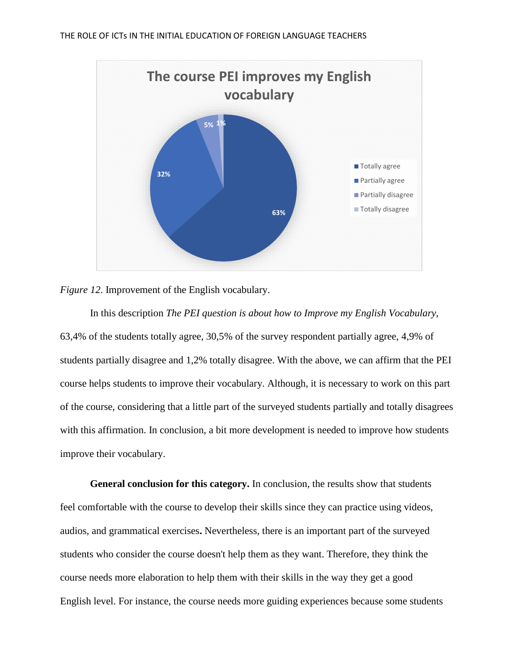



In this description *The PEI question is about how to Improve my English Vocabulary*, 63,4% of the students totally agree, 30,5% of the survey respondent partially agree, 4,9% of students partially disagree and 1,2% totally disagree. With the above, we can affirm that the PEI course helps students to improve their vocabulary. Although, it is necessary to work on this part of the course, considering that a little part of the surveyed students partially and totally disagrees with this affirmation. In conclusion, a bit more development is needed to improve how students improve their vocabulary.

**General conclusion for this category.** In conclusion, the results show that students feel comfortable with the course to develop their skills since they can practice using videos, audios, and grammatical exercises**.** Nevertheless, there is an important part of the surveyed students who consider the course doesn't help them as they want. Therefore, they think the course needs more elaboration to help them with their skills in the way they get a good English level. For instance, the course needs more guiding experiences because some students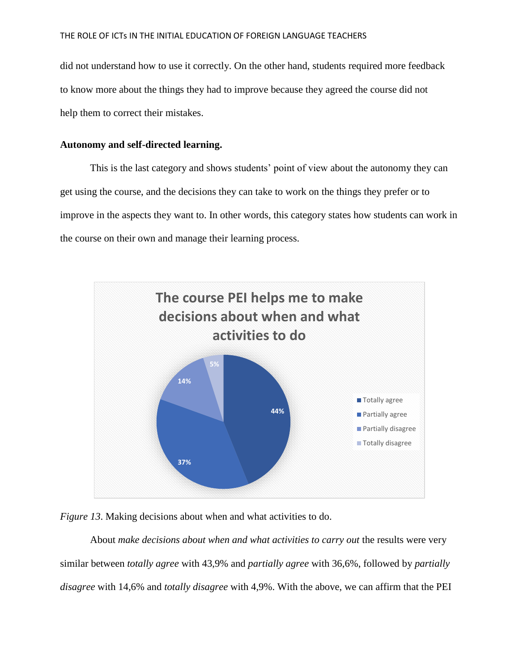did not understand how to use it correctly. On the other hand, students required more feedback to know more about the things they had to improve because they agreed the course did not help them to correct their mistakes.

## **Autonomy and self-directed learning.**

This is the last category and shows students' point of view about the autonomy they can get using the course, and the decisions they can take to work on the things they prefer or to improve in the aspects they want to. In other words, this category states how students can work in the course on their own and manage their learning process.





About *make decisions about when and what activities to carry out* the results were very similar between *totally agree* with 43,9% and *partially agree* with 36,6%, followed by *partially disagree* with 14,6% and *totally disagree* with 4,9%. With the above, we can affirm that the PEI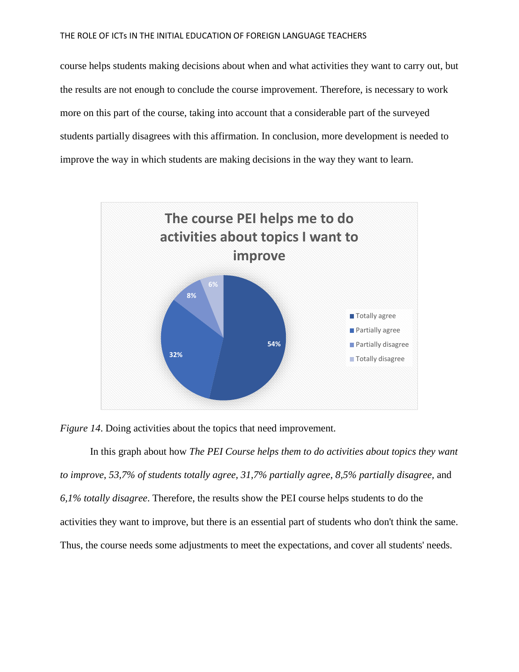course helps students making decisions about when and what activities they want to carry out, but the results are not enough to conclude the course improvement. Therefore, is necessary to work more on this part of the course, taking into account that a considerable part of the surveyed students partially disagrees with this affirmation. In conclusion, more development is needed to improve the way in which students are making decisions in the way they want to learn.



*Figure 14*. Doing activities about the topics that need improvement.

In this graph about how *The PEI Course helps them to do activities about topics they want to improve*, *53,7% of students totally agree, 31,7% partially agree*, *8,5% partially disagree,* and *6,1% totally disagree*. Therefore, the results show the PEI course helps students to do the activities they want to improve, but there is an essential part of students who don't think the same. Thus, the course needs some adjustments to meet the expectations, and cover all students' needs.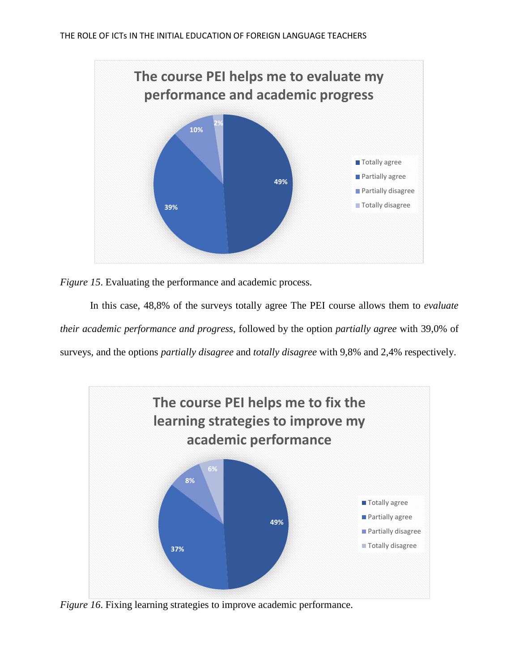

*Figure 15*. Evaluating the performance and academic process.

In this case, 48,8% of the surveys totally agree The PEI course allows them to *evaluate their academic performance and progress*, followed by the option *partially agree* with 39,0% of surveys, and the options *partially disagree* and *totally disagree* with 9,8% and 2,4% respectively.



*Figure 16*. Fixing learning strategies to improve academic performance.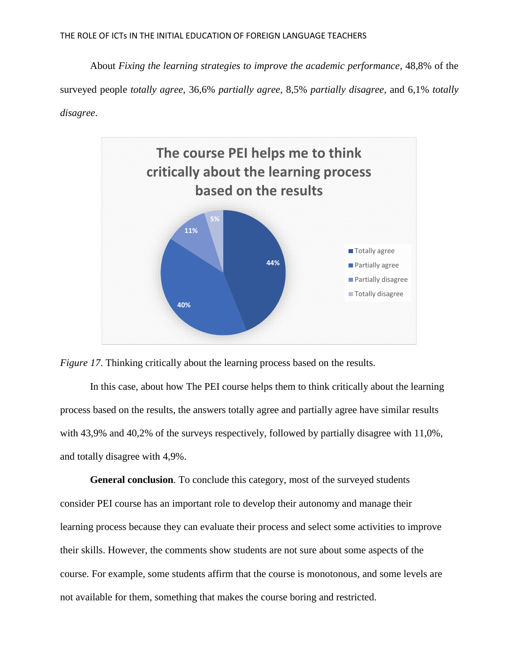About *Fixing the learning strategies to improve the academic performance*, 48,8% of the surveyed people *totally agree*, 36,6% *partially agree*, 8,5% *partially disagree*, and 6,1% *totally disagree*.





In this case, about how The PEI course helps them to think critically about the learning process based on the results, the answers totally agree and partially agree have similar results with 43,9% and 40,2% of the surveys respectively, followed by partially disagree with 11,0%, and totally disagree with 4,9%.

**General conclusion***.* To conclude this category, most of the surveyed students consider PEI course has an important role to develop their autonomy and manage their learning process because they can evaluate their process and select some activities to improve their skills. However, the comments show students are not sure about some aspects of the course. For example, some students affirm that the course is monotonous, and some levels are not available for them, something that makes the course boring and restricted.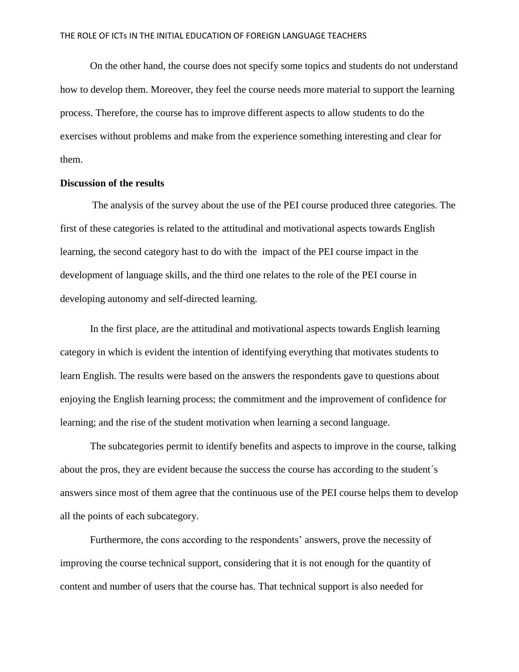On the other hand, the course does not specify some topics and students do not understand how to develop them. Moreover, they feel the course needs more material to support the learning process. Therefore, the course has to improve different aspects to allow students to do the exercises without problems and make from the experience something interesting and clear for them.

### **Discussion of the results**

The analysis of the survey about the use of the PEI course produced three categories. The first of these categories is related to the attitudinal and motivational aspects towards English learning, the second category hast to do with the impact of the PEI course impact in the development of language skills, and the third one relates to the role of the PEI course in developing autonomy and self-directed learning.

In the first place, are the attitudinal and motivational aspects towards English learning category in which is evident the intention of identifying everything that motivates students to learn English. The results were based on the answers the respondents gave to questions about enjoying the English learning process; the commitment and the improvement of confidence for learning; and the rise of the student motivation when learning a second language.

The subcategories permit to identify benefits and aspects to improve in the course, talking about the pros, they are evident because the success the course has according to the student´s answers since most of them agree that the continuous use of the PEI course helps them to develop all the points of each subcategory.

Furthermore, the cons according to the respondents' answers, prove the necessity of improving the course technical support, considering that it is not enough for the quantity of content and number of users that the course has. That technical support is also needed for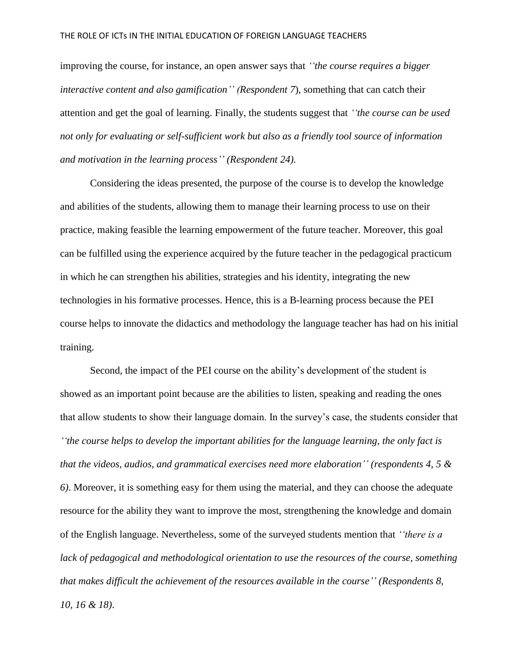improving the course, for instance, an open answer says that *''the course requires a bigger interactive content and also gamification'' (Respondent 7*), something that can catch their attention and get the goal of learning. Finally, the students suggest that *''the course can be used not only for evaluating or self-sufficient work but also as a friendly tool source of information and motivation in the learning process'' (Respondent 24).*

Considering the ideas presented, the purpose of the course is to develop the knowledge and abilities of the students, allowing them to manage their learning process to use on their practice, making feasible the learning empowerment of the future teacher. Moreover, this goal can be fulfilled using the experience acquired by the future teacher in the pedagogical practicum in which he can strengthen his abilities, strategies and his identity, integrating the new technologies in his formative processes. Hence, this is a B-learning process because the PEI course helps to innovate the didactics and methodology the language teacher has had on his initial training.

Second, the impact of the PEI course on the ability's development of the student is showed as an important point because are the abilities to listen, speaking and reading the ones that allow students to show their language domain. In the survey's case, the students consider that *''the course helps to develop the important abilities for the language learning, the only fact is that the videos, audios, and grammatical exercises need more elaboration'' (respondents 4, 5 & 6)*. Moreover, it is something easy for them using the material, and they can choose the adequate resource for the ability they want to improve the most, strengthening the knowledge and domain of the English language. Nevertheless, some of the surveyed students mention that *''there is a lack of pedagogical and methodological orientation to use the resources of the course, something that makes difficult the achievement of the resources available in the course'' (Respondents 8, 10, 16 & 18)*.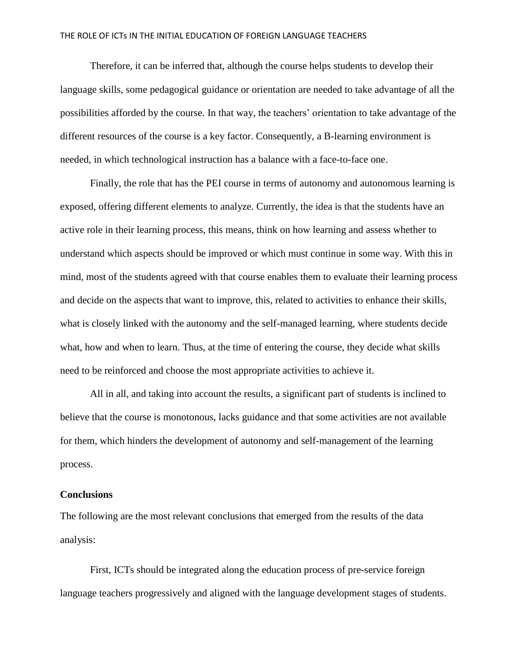Therefore, it can be inferred that, although the course helps students to develop their language skills, some pedagogical guidance or orientation are needed to take advantage of all the possibilities afforded by the course. In that way, the teachers' orientation to take advantage of the different resources of the course is a key factor. Consequently, a B-learning environment is needed, in which technological instruction has a balance with a face-to-face one.

Finally, the role that has the PEI course in terms of autonomy and autonomous learning is exposed, offering different elements to analyze. Currently, the idea is that the students have an active role in their learning process, this means, think on how learning and assess whether to understand which aspects should be improved or which must continue in some way. With this in mind, most of the students agreed with that course enables them to evaluate their learning process and decide on the aspects that want to improve, this, related to activities to enhance their skills, what is closely linked with the autonomy and the self-managed learning, where students decide what, how and when to learn. Thus, at the time of entering the course, they decide what skills need to be reinforced and choose the most appropriate activities to achieve it.

All in all, and taking into account the results, a significant part of students is inclined to believe that the course is monotonous, lacks guidance and that some activities are not available for them, which hinders the development of autonomy and self-management of the learning process.

### **Conclusions**

The following are the most relevant conclusions that emerged from the results of the data analysis:

First, ICTs should be integrated along the education process of pre-service foreign language teachers progressively and aligned with the language development stages of students.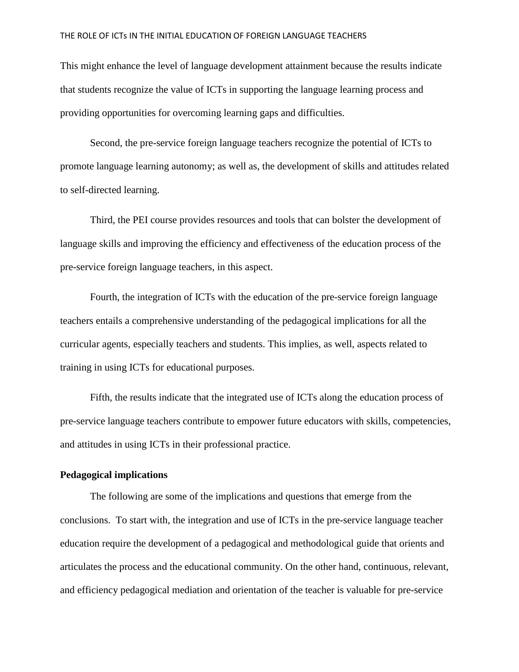This might enhance the level of language development attainment because the results indicate that students recognize the value of ICTs in supporting the language learning process and providing opportunities for overcoming learning gaps and difficulties.

Second, the pre-service foreign language teachers recognize the potential of ICTs to promote language learning autonomy; as well as, the development of skills and attitudes related to self-directed learning.

Third, the PEI course provides resources and tools that can bolster the development of language skills and improving the efficiency and effectiveness of the education process of the pre-service foreign language teachers, in this aspect.

Fourth, the integration of ICTs with the education of the pre-service foreign language teachers entails a comprehensive understanding of the pedagogical implications for all the curricular agents, especially teachers and students. This implies, as well, aspects related to training in using ICTs for educational purposes.

Fifth, the results indicate that the integrated use of ICTs along the education process of pre-service language teachers contribute to empower future educators with skills, competencies, and attitudes in using ICTs in their professional practice.

### **Pedagogical implications**

The following are some of the implications and questions that emerge from the conclusions. To start with, the integration and use of ICTs in the pre-service language teacher education require the development of a pedagogical and methodological guide that orients and articulates the process and the educational community. On the other hand, continuous, relevant, and efficiency pedagogical mediation and orientation of the teacher is valuable for pre-service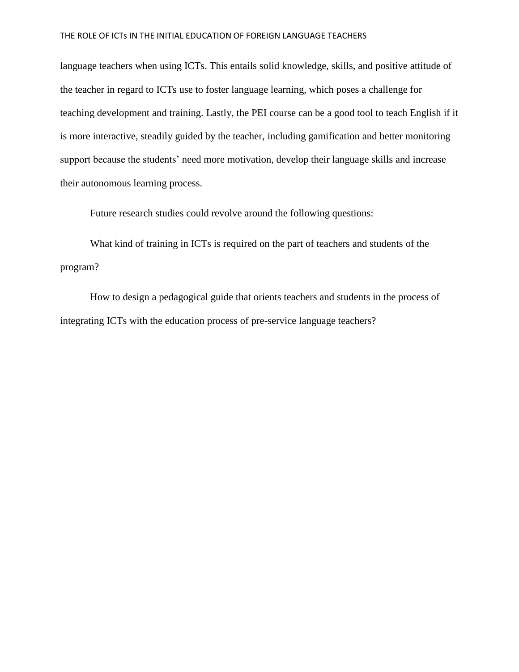language teachers when using ICTs. This entails solid knowledge, skills, and positive attitude of the teacher in regard to ICTs use to foster language learning, which poses a challenge for teaching development and training. Lastly, the PEI course can be a good tool to teach English if it is more interactive, steadily guided by the teacher, including gamification and better monitoring support because the students' need more motivation, develop their language skills and increase their autonomous learning process.

Future research studies could revolve around the following questions:

What kind of training in ICTs is required on the part of teachers and students of the program?

How to design a pedagogical guide that orients teachers and students in the process of integrating ICTs with the education process of pre-service language teachers?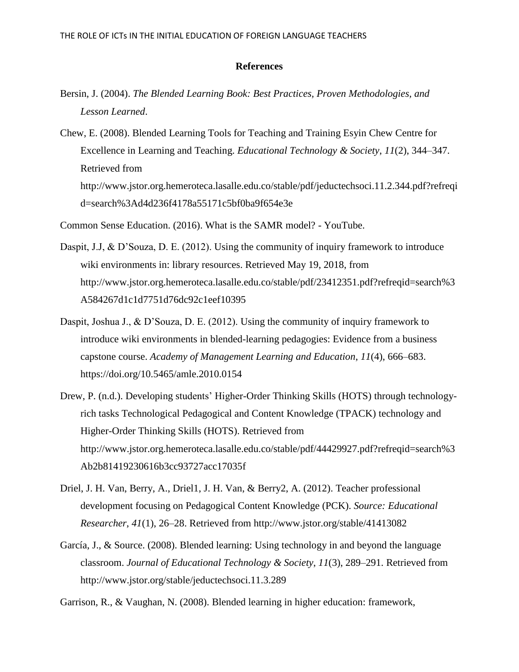### **References**

- Bersin, J. (2004). *The Blended Learning Book: Best Practices, Proven Methodologies, and Lesson Learned*.
- Chew, E. (2008). Blended Learning Tools for Teaching and Training Esyin Chew Centre for Excellence in Learning and Teaching. *Educational Technology & Society*, *11*(2), 344–347. Retrieved from http://www.jstor.org.hemeroteca.lasalle.edu.co/stable/pdf/jeductechsoci.11.2.344.pdf?refreqi d=search%3Ad4d236f4178a55171c5bf0ba9f654e3e
- Common Sense Education. (2016). What is the SAMR model? YouTube.
- Daspit, J.J, & D'Souza, D. E. (2012). Using the community of inquiry framework to introduce wiki environments in: library resources. Retrieved May 19, 2018, from http://www.jstor.org.hemeroteca.lasalle.edu.co/stable/pdf/23412351.pdf?refreqid=search%3 A584267d1c1d7751d76dc92c1eef10395
- Daspit, Joshua J., & D'Souza, D. E. (2012). Using the community of inquiry framework to introduce wiki environments in blended-learning pedagogies: Evidence from a business capstone course. *Academy of Management Learning and Education*, *11*(4), 666–683. https://doi.org/10.5465/amle.2010.0154
- Drew, P. (n.d.). Developing students' Higher-Order Thinking Skills (HOTS) through technologyrich tasks Technological Pedagogical and Content Knowledge (TPACK) technology and Higher-Order Thinking Skills (HOTS). Retrieved from http://www.jstor.org.hemeroteca.lasalle.edu.co/stable/pdf/44429927.pdf?refreqid=search%3 Ab2b81419230616b3cc93727acc17035f
- Driel, J. H. Van, Berry, A., Driel1, J. H. Van, & Berry2, A. (2012). Teacher professional development focusing on Pedagogical Content Knowledge (PCK). *Source: Educational Researcher*, *41*(1), 26–28. Retrieved from http://www.jstor.org/stable/41413082
- García, J., & Source. (2008). Blended learning: Using technology in and beyond the language classroom. *Journal of Educational Technology & Society*, *11*(3), 289–291. Retrieved from http://www.jstor.org/stable/jeductechsoci.11.3.289
- Garrison, R., & Vaughan, N. (2008). Blended learning in higher education: framework,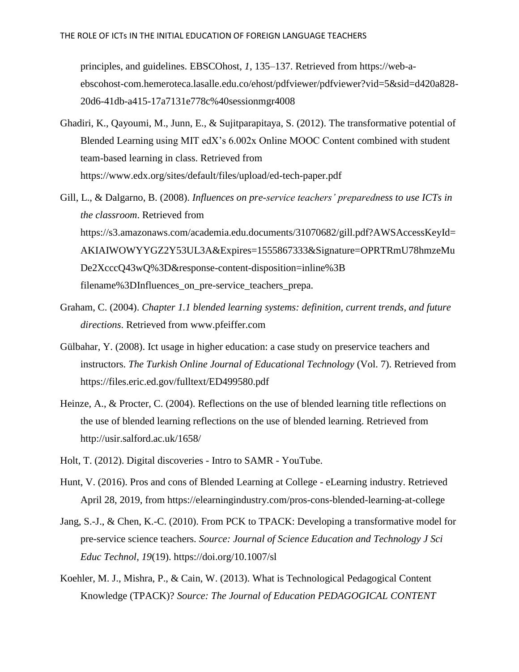principles, and guidelines. EBSCOhost, *1*, 135–137. Retrieved from https://web-aebscohost-com.hemeroteca.lasalle.edu.co/ehost/pdfviewer/pdfviewer?vid=5&sid=d420a828- 20d6-41db-a415-17a7131e778c%40sessionmgr4008

- Ghadiri, K., Qayoumi, M., Junn, E., & Sujitparapitaya, S. (2012). The transformative potential of Blended Learning using MIT edX's 6.002x Online MOOC Content combined with student team-based learning in class. Retrieved from https://www.edx.org/sites/default/files/upload/ed-tech-paper.pdf
- Gill, L., & Dalgarno, B. (2008). *Influences on pre-service teachers' preparedness to use ICTs in the classroom*. Retrieved from https://s3.amazonaws.com/academia.edu.documents/31070682/gill.pdf?AWSAccessKeyId= AKIAIWOWYYGZ2Y53UL3A&Expires=1555867333&Signature=OPRTRmU78hmzeMu De2XcccQ43wQ%3D&response-content-disposition=inline%3B filename%3DInfluences\_on\_pre-service\_teachers\_prepa.
- Graham, C. (2004). *Chapter 1.1 blended learning systems: definition, current trends, and future directions*. Retrieved from www.pfeiffer.com
- Gülbahar, Y. (2008). Ict usage in higher education: a case study on preservice teachers and instructors. *The Turkish Online Journal of Educational Technology* (Vol. 7). Retrieved from https://files.eric.ed.gov/fulltext/ED499580.pdf
- Heinze, A., & Procter, C. (2004). Reflections on the use of blended learning title reflections on the use of blended learning reflections on the use of blended learning. Retrieved from http://usir.salford.ac.uk/1658/
- Holt, T. (2012). Digital discoveries Intro to SAMR YouTube.
- Hunt, V. (2016). Pros and cons of Blended Learning at College eLearning industry. Retrieved April 28, 2019, from https://elearningindustry.com/pros-cons-blended-learning-at-college
- Jang, S.-J., & Chen, K.-C. (2010). From PCK to TPACK: Developing a transformative model for pre-service science teachers. *Source: Journal of Science Education and Technology J Sci Educ Technol*, *19*(19). https://doi.org/10.1007/sl
- Koehler, M. J., Mishra, P., & Cain, W. (2013). What is Technological Pedagogical Content Knowledge (TPACK)? *Source: The Journal of Education PEDAGOGICAL CONTENT*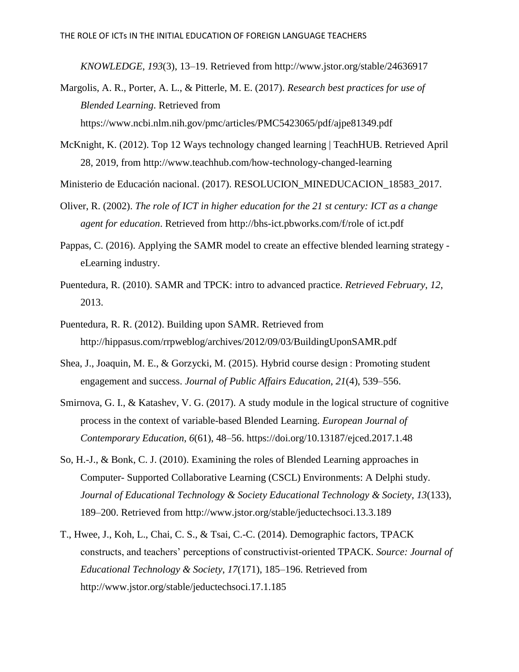*KNOWLEDGE*, *193*(3), 13–19. Retrieved from http://www.jstor.org/stable/24636917

- Margolis, A. R., Porter, A. L., & Pitterle, M. E. (2017). *Research best practices for use of Blended Learning*. Retrieved from https://www.ncbi.nlm.nih.gov/pmc/articles/PMC5423065/pdf/ajpe81349.pdf
- McKnight, K. (2012). Top 12 Ways technology changed learning | TeachHUB. Retrieved April 28, 2019, from http://www.teachhub.com/how-technology-changed-learning
- Ministerio de Educación nacional. (2017). RESOLUCION\_MINEDUCACION\_18583\_2017.
- Oliver, R. (2002). *The role of ICT in higher education for the 21 st century: ICT as a change agent for education*. Retrieved from http://bhs-ict.pbworks.com/f/role of ict.pdf
- Pappas, C. (2016). Applying the SAMR model to create an effective blended learning strategy eLearning industry.
- Puentedura, R. (2010). SAMR and TPCK: intro to advanced practice. *Retrieved February*, *12*, 2013.
- Puentedura, R. R. (2012). Building upon SAMR. Retrieved from http://hippasus.com/rrpweblog/archives/2012/09/03/BuildingUponSAMR.pdf
- Shea, J., Joaquin, M. E., & Gorzycki, M. (2015). Hybrid course design : Promoting student engagement and success. *Journal of Public Affairs Education*, *21*(4), 539–556.
- Smirnova, G. I., & Katashev, V. G. (2017). A study module in the logical structure of cognitive process in the context of variable-based Blended Learning. *European Journal of Contemporary Education*, *6*(61), 48–56. https://doi.org/10.13187/ejced.2017.1.48
- So, H.-J., & Bonk, C. J. (2010). Examining the roles of Blended Learning approaches in Computer- Supported Collaborative Learning (CSCL) Environments: A Delphi study. *Journal of Educational Technology & Society Educational Technology & Society*, *13*(133), 189–200. Retrieved from http://www.jstor.org/stable/jeductechsoci.13.3.189
- T., Hwee, J., Koh, L., Chai, C. S., & Tsai, C.-C. (2014). Demographic factors, TPACK constructs, and teachers' perceptions of constructivist-oriented TPACK. *Source: Journal of Educational Technology & Society*, *17*(171), 185–196. Retrieved from http://www.jstor.org/stable/jeductechsoci.17.1.185